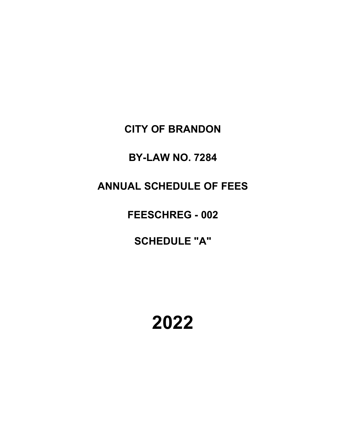**CITY OF BRANDON**

**BY-LAW NO. 7284**

**ANNUAL SCHEDULE OF FEES**

**FEESCHREG - 002**

**SCHEDULE "A"**

**2022**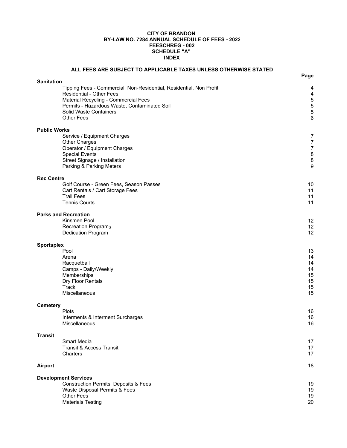#### **CITY OF BRANDON BY-LAW NO. 7284 ANNUAL SCHEDULE OF FEES - 2022 FEESCHREG - 002 INDEX SCHEDULE "A"**

| ALL FEES ARE SUBJECT TO APPLICABLE TAXES UNLESS OTHERWISE STATED                                                                                                                                                                              |                                                                          |
|-----------------------------------------------------------------------------------------------------------------------------------------------------------------------------------------------------------------------------------------------|--------------------------------------------------------------------------|
| <b>Sanitation</b>                                                                                                                                                                                                                             | Page                                                                     |
| Tipping Fees - Commercial, Non-Residential, Residential, Non Profit<br><b>Residential - Other Fees</b><br>Material Recycling - Commercial Fees<br>Permits - Hazardous Waste, Contaminated Soil<br>Solid Waste Containers<br><b>Other Fees</b> | 4<br>4<br>5<br>$\frac{5}{5}$<br>6                                        |
| <b>Public Works</b>                                                                                                                                                                                                                           |                                                                          |
| Service / Equipment Charges<br>Other Charges<br>Operator / Equipment Charges<br><b>Special Events</b><br>Street Signage / Installation<br>Parking & Parking Meters                                                                            | $\overline{7}$<br>$\boldsymbol{7}$<br>$\overline{7}$<br>8<br>$\bf8$<br>9 |
| <b>Rec Centre</b>                                                                                                                                                                                                                             |                                                                          |
| Golf Course - Green Fees, Season Passes<br>Cart Rentals / Cart Storage Fees<br><b>Trail Fees</b><br><b>Tennis Courts</b>                                                                                                                      | 10<br>11<br>11<br>11                                                     |
| <b>Parks and Recreation</b>                                                                                                                                                                                                                   |                                                                          |
| Kinsmen Pool<br><b>Recreation Programs</b><br>Dedication Program                                                                                                                                                                              | 12<br>12<br>12                                                           |
| <b>Sportsplex</b>                                                                                                                                                                                                                             |                                                                          |
| Pool<br>Arena<br>Racquetball<br>Camps - Daily/Weekly<br>Memberships<br>Dry Floor Rentals<br>Track<br>Miscellaneous                                                                                                                            | 13<br>14<br>14<br>14<br>15<br>15<br>15<br>15                             |
| <b>Cemetery</b>                                                                                                                                                                                                                               |                                                                          |
| Plots<br>Interments & Interment Surcharges<br>Miscellaneous                                                                                                                                                                                   | 16<br>16<br>16                                                           |
| <b>Transit</b>                                                                                                                                                                                                                                |                                                                          |
| Smart Media<br><b>Transit &amp; Access Transit</b><br>Charters                                                                                                                                                                                | 17<br>17<br>17                                                           |
| Airport                                                                                                                                                                                                                                       | 18                                                                       |
| <b>Development Services</b>                                                                                                                                                                                                                   |                                                                          |
| <b>Construction Permits, Deposits &amp; Fees</b><br>Waste Disposal Permits & Fees<br><b>Other Fees</b><br><b>Materials Testing</b>                                                                                                            | 19<br>19<br>19<br>20                                                     |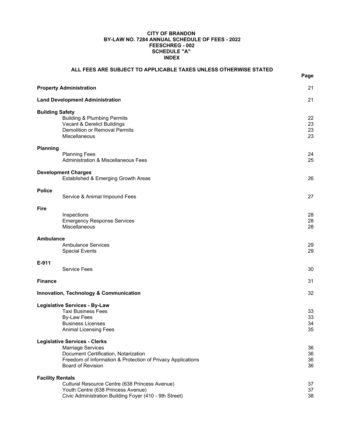#### **FEESCHREG - 002 INDEX CITY OF BRANDON BY-LAW NO. 7284 ANNUAL SCHEDULE OF FEES - 2022 SCHEDULE "A"**

|                         | ALL FEES ARE SUBJECT TO APPLICABLE TAXES UNLESS OTHERWISE STATED                                                                               | Page           |
|-------------------------|------------------------------------------------------------------------------------------------------------------------------------------------|----------------|
|                         |                                                                                                                                                |                |
|                         | <b>Property Administration</b>                                                                                                                 | 21             |
|                         | <b>Land Development Administration</b>                                                                                                         | 21             |
| <b>Building Safety</b>  | <b>Building &amp; Plumbing Permits</b><br>Vacant & Derelict Buildings                                                                          | 22<br>23       |
|                         | Demolition or Removal Permits<br>Miscellaneous                                                                                                 | 23<br>23       |
| Planning                |                                                                                                                                                | 24             |
|                         | <b>Planning Fees</b><br><b>Administration &amp; Miscellaneous Fees</b>                                                                         | 25             |
|                         | <b>Development Charges</b><br>Established & Emerging Growth Areas                                                                              | 26             |
| <b>Police</b>           | Service & Animal Impound Fees                                                                                                                  | 27             |
| <b>Fire</b>             |                                                                                                                                                |                |
|                         | Inspections<br><b>Emergency Response Services</b><br>Miscellaneous                                                                             | 28<br>28<br>28 |
| Ambulance               |                                                                                                                                                |                |
|                         | <b>Ambulance Services</b><br><b>Special Events</b>                                                                                             | 29<br>29       |
| E-911                   | <b>Service Fees</b>                                                                                                                            | 30             |
| <b>Finance</b>          |                                                                                                                                                | 31             |
|                         | Innovation, Technology & Communication                                                                                                         | 32             |
|                         | <b>Legislative Services - By-Law</b>                                                                                                           |                |
|                         | <b>Taxi Business Fees</b><br><b>By-Law Fees</b>                                                                                                | 33<br>33       |
|                         | <b>Business Licenses</b>                                                                                                                       | 34             |
|                         | <b>Animal Licensing Fees</b>                                                                                                                   | 35             |
|                         | <b>Legislative Services - Clerks</b>                                                                                                           |                |
|                         | <b>Marriage Services</b><br>Document Certification, Notarization                                                                               | 36<br>36       |
|                         | Freedom of Information & Protection of Privacy Applications                                                                                    | 36             |
|                         | <b>Board of Revision</b>                                                                                                                       | 36             |
| <b>Facility Rentals</b> |                                                                                                                                                |                |
|                         | Cultural Resource Centre (638 Princess Avenue)<br>Youth Centre (638 Princess Avenue)<br>Civic Administration Building Foyer (410 - 9th Street) | 37<br>37<br>38 |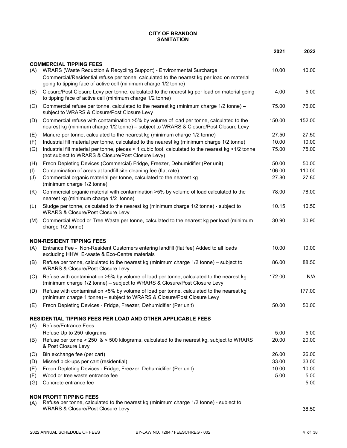#### **CITY OF BRANDON SANITATION**

|                |                                                                                                                                                                                 | 2021   | 2022   |
|----------------|---------------------------------------------------------------------------------------------------------------------------------------------------------------------------------|--------|--------|
|                | <b>COMMERCIAL TIPPING FEES</b>                                                                                                                                                  |        |        |
| (A)            | WRARS (Waste Reduction & Recycling Support) - Environmental Surcharge                                                                                                           | 10.00  | 10.00  |
|                | Commercial/Residential refuse per tonne, calculated to the nearest kg per load on material<br>going to tipping face of active cell (minimum charge 1/2 tonne)                   |        |        |
| (B)            | Closure/Post Closure Levy per tonne, calculated to the nearest kg per load on material going<br>to tipping face of active cell (minimum charge 1/2 tonne)                       | 4.00   | 5.00   |
| (C)            | Commercial refuse per tonne, calculated to the nearest kg (minimum charge 1/2 tonne) -<br>subject to WRARS & Closure/Post Closure Levy                                          | 75.00  | 76.00  |
| (D)            | Commercial refuse with contamination >5% by volume of load per tonne, calculated to the<br>nearest kg (minimum charge 1/2 tonne) - subject to WRARS & Closure/Post Closure Levy | 150.00 | 152.00 |
| (E)            | Manure per tonne, calculated to the nearest kg (minimum charge 1/2 tonne)                                                                                                       | 27.50  | 27.50  |
| (F)            | Industrial fill material per tonne, calculated to the nearest kg (minimum charge 1/2 tonne)                                                                                     | 10.00  | 10.00  |
| (G)            | Industrial fill material per tonne, pieces > 1 cubic foot, calculated to the nearest kg >1/2 tonne<br>(not subject to WRARS & Closure/Post Closure Levy)                        | 75.00  | 75.00  |
| (H)            | Freon Depleting Devices (Commercial) Fridge, Freezer, Dehumidifier (Per unit)                                                                                                   | 50.00  | 50.00  |
| (1)            | Contamination of areas at landfill site cleaning fee (flat rate)                                                                                                                | 106.00 | 110.00 |
| $(\mathsf{U})$ | Commercial organic material per tonne, calculated to the nearest kg<br>(minimum charge 1/2 tonne)                                                                               | 27.80  | 27.80  |
| (K)            | Commercial organic material with contamination >5% by volume of load calculated to the<br>nearest kg (minimum charge 1/2 tonne)                                                 | 78.00  | 78.00  |
| (L)            | Sludge per tonne, calculated to the nearest kg (minimum charge 1/2 tonne) - subject to<br><b>WRARS &amp; Closure/Post Closure Levy</b>                                          | 10.15  | 10.50  |
| (M)            | Commercial Wood or Tree Waste per tonne, calculated to the nearest kg per load (minimum<br>charge 1/2 tonne)                                                                    | 30.90  | 30.90  |
|                | <b>NON-RESIDENT TIPPING FEES</b>                                                                                                                                                |        |        |
| (A)            | Entrance Fee - Non-Resident Customers entering landfill (flat fee) Added to all loads<br>excluding HHW, E-waste & Eco-Centre materials                                          | 10.00  | 10.00  |
| (B)            | Refuse per tonne, calculated to the nearest kg (minimum charge 1/2 tonne) - subject to<br><b>WRARS &amp; Closure/Post Closure Levy</b>                                          | 86.00  | 88.50  |
| (C)            | Refuse with contamination >5% by volume of load per tonne, calculated to the nearest kg<br>(minimum charge 1/2 tonne) - subject to WRARS & Closure/Post Closure Levy            | 172.00 | N/A    |
| (D)            | Refuse with contamination >5% by volume of load per tonne, calculated to the nearest kg<br>(minimum charge 1 tonne) - subject to WRARS & Closure/Post Closure Levy              |        | 177.00 |
| (E)            | Freon Depleting Devices - Fridge, Freezer, Dehumidifier (Per unit)                                                                                                              | 50.00  | 50.00  |
|                | RESIDENTIAL TIPPING FEES PER LOAD AND OTHER APPLICABLE FEES                                                                                                                     |        |        |
| (A)            | <b>Refuse/Entrance Fees</b>                                                                                                                                                     |        |        |
|                | Refuse Up to 250 kilograms                                                                                                                                                      | 5.00   | 5.00   |
| (B)            | Refuse per tonne $> 250 \< 500$ kilograms, calculated to the nearest kg, subject to WRARS<br>& Post Closure Levy                                                                | 20.00  | 20.00  |
| (C)            | Bin exchange fee (per cart)                                                                                                                                                     | 26.00  | 26.00  |
| (D)            | Missed pick-ups per cart (residential)                                                                                                                                          | 33.00  | 33.00  |
| (E)            | Freon Depleting Devices - Fridge, Freezer, Dehumidifier (Per unit)                                                                                                              | 10.00  | 10.00  |
| (F)            | Wood or tree waste entrance fee                                                                                                                                                 | 5.00   | 5.00   |
| (G)            | Concrete entrance fee                                                                                                                                                           |        | 5.00   |
|                | <b>NON PROFIT TIPPING FEES</b>                                                                                                                                                  |        |        |
| (A)            | Refuse per tonne, calculated to the nearest kg (minimum charge 1/2 tonne) - subject to<br><b>WRARS &amp; Closure/Post Closure Levy</b>                                          |        | 38.50  |
|                |                                                                                                                                                                                 |        |        |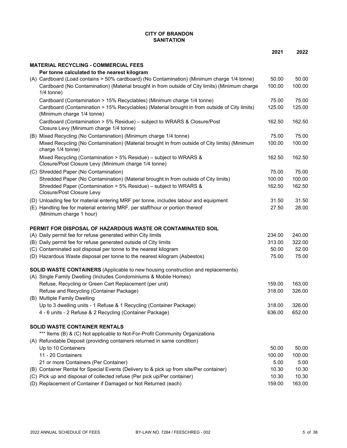#### **CITY OF BRANDON SANITATION**

|                                                                                                                                 | 2021   | 2022   |
|---------------------------------------------------------------------------------------------------------------------------------|--------|--------|
| <b>MATERIAL RECYCLING - COMMERCIAL FEES</b>                                                                                     |        |        |
| Per tonne calculated to the nearest kilogram                                                                                    |        |        |
| (A) Cardboard (Load contains > 50% cardboard) (No Contamination) (Minimum charge 1/4 tonne)                                     | 50.00  | 50.00  |
| Cardboard (No Contamination) (Material brought in from outside of City limits) (Minimum charge                                  | 100.00 | 100.00 |
| $1/4$ tonne)                                                                                                                    |        |        |
| Cardboard (Contamination > 15% Recyclables) (Minimum charge 1/4 tonne)                                                          | 75.00  | 75.00  |
| Cardboard (Contamination > 15% Recyclables) (Material brought in from outside of City limits)                                   | 125.00 | 125.00 |
| (Minimum charge 1/4 tonne)                                                                                                      |        |        |
| Cardboard (Contamination > 5% Residue) - subject to WRARS & Closure/Post                                                        | 162.50 | 162.50 |
| Closure Levy (Minimum charge 1/4 tonne)                                                                                         |        |        |
| (B) Mixed Recycling (No Contamination) (Minimum charge 1/4 tonne)                                                               | 75.00  | 75.00  |
| Mixed Recycling (No Contamination) (Material brought in from outside of City limits) (Minimum                                   | 100.00 | 100.00 |
| charge 1/4 tonne)                                                                                                               |        |        |
| Mixed Recycling (Contamination > 5% Residue) – subject to WRARS &                                                               | 162.50 | 162.50 |
| Closure/Post Closure Levy (Minimum charge 1/4 tonne)                                                                            |        |        |
| (C) Shredded Paper (No Contamination)                                                                                           | 75.00  | 75.00  |
| Shredded Paper (No Contamination) (Material brought in from outside of City limits)                                             | 100.00 | 100.00 |
| Shredded Paper (Contamination > 5% Residue) - subject to WRARS &                                                                | 162.50 | 162.50 |
| Closure/Post Closure Levy                                                                                                       |        |        |
| (D) Unloading fee for material entering MRF per tonne, includes labour and equipment                                            | 31.50  | 31.50  |
| (E) Handling fee for material entering MRF, per staff/hour or portion thereof                                                   | 27.50  | 28.00  |
| (Minimum charge 1 hour)                                                                                                         |        |        |
| PERMIT FOR DISPOSAL OF HAZARDOUS WASTE OR CONTAMINATED SOIL                                                                     |        |        |
| (A) Daily permit fee for refuse generated within City limits                                                                    | 234.00 | 240.00 |
| (B) Daily permit fee for refuse generated outside of City limits                                                                | 313.00 | 322.00 |
| (C) Contaminated soil disposal per tonne to the nearest kilogram                                                                | 50.00  | 52.00  |
| (D) Hazardous Waste disposal per tonne to the nearest kilogram (Asbestos)                                                       | 75.00  | 75.00  |
|                                                                                                                                 |        |        |
| <b>SOLID WASTE CONTAINERS</b> (Applicable to new housing construction and replacements)                                         |        |        |
| (A) Single Family Dwelling (Includes Condominiums & Mobile Homes)                                                               |        |        |
| Refuse, Recycling or Green Cart Replacement (per unit)                                                                          | 159.00 | 163.00 |
| Refuse and Recycling (Container Package)                                                                                        | 318.00 | 326.00 |
| (B) Multiple Family Dwelling                                                                                                    | 318.00 | 326.00 |
| Up to 3 dwelling units - 1 Refuse & 1 Recycling (Container Package)<br>4 - 6 units - 2 Refuse & 2 Recycling (Container Package) | 636.00 | 652.00 |
|                                                                                                                                 |        |        |
| <b>SOLID WASTE CONTAINER RENTALS</b>                                                                                            |        |        |
| *** Items (B) & (C) Not applicable to Not-For-Profit Community Organizations                                                    |        |        |
| (A) Refundable Deposit (providing containers returned in same condition)                                                        |        |        |
| Up to 10 Containers                                                                                                             | 50.00  | 50.00  |
| 11 - 20 Containers                                                                                                              | 100.00 | 100.00 |
| 21 or more Containers (Per Container)                                                                                           | 5.00   | 5.00   |
| (B) Container Rental for Special Events (Delivery to & pick up from site/Per container)                                         | 10.30  | 10.30  |
| (C) Pick up and disposal of collected refuse (Per pick up/Per container)                                                        | 10.30  | 10.30  |
| (D) Replacement of Container if Damaged or Not Returned (each)                                                                  | 159.00 | 163.00 |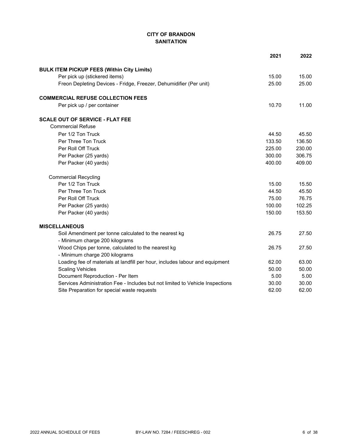# **CITY OF BRANDON SANITATION**

|                                                                               | 2021   | 2022   |
|-------------------------------------------------------------------------------|--------|--------|
| <b>BULK ITEM PICKUP FEES (Within City Limits)</b>                             |        |        |
| Per pick up (stickered items)                                                 | 15.00  | 15.00  |
| Freon Depleting Devices - Fridge, Freezer, Dehumidifier (Per unit)            | 25.00  | 25.00  |
| <b>COMMERCIAL REFUSE COLLECTION FEES</b>                                      |        |        |
| Per pick up / per container                                                   | 10.70  | 11.00  |
| <b>SCALE OUT OF SERVICE - FLAT FEE</b>                                        |        |        |
| <b>Commercial Refuse</b>                                                      |        |        |
| Per 1/2 Ton Truck                                                             | 44.50  | 45.50  |
| Per Three Ton Truck                                                           | 133.50 | 136.50 |
| Per Roll Off Truck                                                            | 225.00 | 230.00 |
| Per Packer (25 yards)                                                         | 300.00 | 306.75 |
| Per Packer (40 yards)                                                         | 400.00 | 409.00 |
| <b>Commercial Recycling</b>                                                   |        |        |
| Per 1/2 Ton Truck                                                             | 15.00  | 15.50  |
| Per Three Ton Truck                                                           | 44.50  | 45.50  |
| Per Roll Off Truck                                                            | 75.00  | 76.75  |
| Per Packer (25 yards)                                                         | 100.00 | 102.25 |
| Per Packer (40 yards)                                                         | 150.00 | 153.50 |
| <b>MISCELLANEOUS</b>                                                          |        |        |
| Soil Amendment per tonne calculated to the nearest kg                         | 26.75  | 27.50  |
| - Minimum charge 200 kilograms                                                |        |        |
| Wood Chips per tonne, calculated to the nearest kg                            | 26.75  | 27.50  |
| - Minimum charge 200 kilograms                                                |        |        |
| Loading fee of materials at landfill per hour, includes labour and equipment  | 62.00  | 63.00  |
| <b>Scaling Vehicles</b>                                                       | 50.00  | 50.00  |
| Document Reproduction - Per Item                                              | 5.00   | 5.00   |
| Services Administration Fee - Includes but not limited to Vehicle Inspections | 30.00  | 30.00  |
| Site Preparation for special waste requests                                   | 62.00  | 62.00  |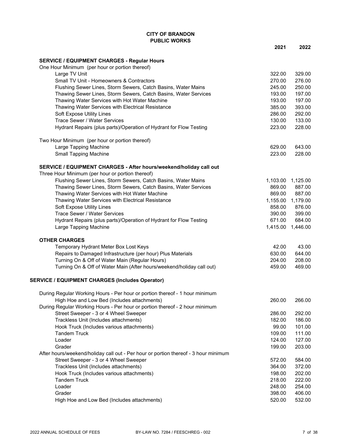#### **CITY OF BRANDON PUBLIC WORKS**

|                                                                                     | 2021   | 2022              |
|-------------------------------------------------------------------------------------|--------|-------------------|
| <b>SERVICE / EQUIPMENT CHARGES - Regular Hours</b>                                  |        |                   |
| One Hour Minimum (per hour or portion thereof)                                      |        |                   |
| Large TV Unit                                                                       | 322.00 | 329.00            |
| Small TV Unit - Homeowners & Contractors                                            | 270.00 | 276.00            |
| Flushing Sewer Lines, Storm Sewers, Catch Basins, Water Mains                       | 245.00 | 250.00            |
| Thawing Sewer Lines, Storm Sewers, Catch Basins, Water Services                     | 193.00 | 197.00            |
| Thawing Water Services with Hot Water Machine                                       | 193.00 | 197.00            |
| Thawing Water Services with Electrical Resistance                                   | 385.00 | 393.00            |
| Soft Expose Utility Lines                                                           | 286.00 | 292.00            |
| Trace Sewer / Water Services                                                        | 130.00 | 133.00            |
| Hydrant Repairs (plus parts)/Operation of Hydrant for Flow Testing                  | 223.00 | 228.00            |
| Two Hour Minimum (per hour or portion thereof)                                      |        |                   |
| Large Tapping Machine                                                               | 629.00 | 643.00            |
| <b>Small Tapping Machine</b>                                                        | 223.00 | 228.00            |
| SERVICE / EQUIPMENT CHARGES - After hours/weekend/holiday call out                  |        |                   |
| Three Hour Minimum (per hour or portion thereof)                                    |        |                   |
| Flushing Sewer Lines, Storm Sewers, Catch Basins, Water Mains                       |        | 1,103.00 1,125.00 |
| Thawing Sewer Lines, Storm Sewers, Catch Basins, Water Services                     | 869.00 | 887.00            |
| Thawing Water Services with Hot Water Machine                                       | 869.00 | 887.00            |
| Thawing Water Services with Electrical Resistance                                   |        | 1,155.00 1,179.00 |
| Soft Expose Utility Lines                                                           | 858.00 | 876.00            |
| <b>Trace Sewer / Water Services</b>                                                 | 390.00 | 399.00            |
| Hydrant Repairs (plus parts)/Operation of Hydrant for Flow Testing                  | 671.00 | 684.00            |
| Large Tapping Machine                                                               |        | 1,415.00 1,446.00 |
| <b>OTHER CHARGES</b>                                                                |        |                   |
| Temporary Hydrant Meter Box Lost Keys                                               | 42.00  | 43.00             |
| Repairs to Damaged Infrastructure (per hour) Plus Materials                         | 630.00 | 644.00            |
| Turning On & Off of Water Main (Regular Hours)                                      | 204.00 | 208.00            |
| Turning On & Off of Water Main (After hours/weekend/holiday call out)               | 459.00 | 469.00            |
| <b>SERVICE / EQUIPMENT CHARGES (Includes Operator)</b>                              |        |                   |
| During Regular Working Hours - Per hour or portion thereof - 1 hour minimum         |        |                   |
| High Hoe and Low Bed (Includes attachments)                                         | 260.00 | 266.00            |
| During Regular Working Hours - Per hour or portion thereof - 2 hour minimum         |        |                   |
| Street Sweeper - 3 or 4 Wheel Sweeper                                               | 286.00 | 292.00            |
| Trackless Unit (Includes attachments)                                               | 182.00 | 186.00            |
| Hook Truck (Includes various attachments)                                           | 99.00  | 101.00            |
| <b>Tandem Truck</b>                                                                 | 109.00 | 111.00            |
| Loader                                                                              | 124.00 | 127.00            |
| Grader                                                                              | 199.00 | 203.00            |
| After hours/weekend/holiday call out - Per hour or portion thereof - 3 hour minimum |        |                   |
| Street Sweeper - 3 or 4 Wheel Sweeper                                               | 572.00 | 584.00            |
| Trackless Unit (Includes attachments)                                               | 364.00 | 372.00            |
| Hook Truck (Includes various attachments)                                           | 198.00 | 202.00            |
| <b>Tandem Truck</b>                                                                 | 218.00 | 222.00            |
| Loader                                                                              | 248.00 | 254.00            |
| Grader                                                                              | 398.00 | 406.00            |
| High Hoe and Low Bed (Includes attachments)                                         | 520.00 | 532.00            |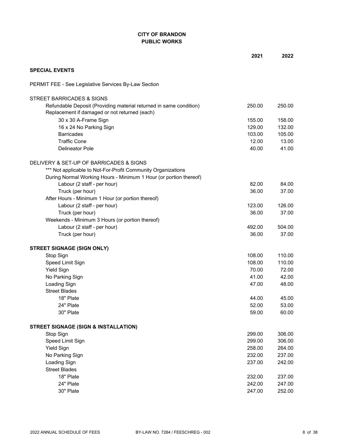# **CITY OF BRANDON PUBLIC WORKS**

|                                                                                                                     | 2021   | 2022   |
|---------------------------------------------------------------------------------------------------------------------|--------|--------|
| <b>SPECIAL EVENTS</b>                                                                                               |        |        |
| PERMIT FEE - See Legislative Services By-Law Section                                                                |        |        |
| STREET BARRICADES & SIGNS                                                                                           |        |        |
| Refundable Deposit (Providing material returned in same condition)<br>Replacement if damaged or not returned (each) | 250.00 | 250.00 |
| 30 x 30 A-Frame Sign                                                                                                | 155.00 | 158.00 |
| 16 x 24 No Parking Sign                                                                                             | 129.00 | 132.00 |
| <b>Barricades</b>                                                                                                   | 103.00 | 105.00 |
| <b>Traffic Cone</b>                                                                                                 | 12.00  | 13.00  |
| <b>Delineator Pole</b>                                                                                              | 40.00  | 41.00  |
| DELIVERY & SET-UP OF BARRICADES & SIGNS                                                                             |        |        |
| *** Not applicable to Not-For-Profit Community Organizations                                                        |        |        |
| During Normal Working Hours - Minimum 1 Hour (or portion thereof)                                                   |        |        |
| Labour (2 staff - per hour)                                                                                         | 82.00  | 84.00  |
| Truck (per hour)                                                                                                    | 36.00  | 37.00  |
| After Hours - Minimum 1 Hour (or portion thereof)                                                                   |        |        |
| Labour (2 staff - per hour)                                                                                         | 123.00 | 126.00 |
| Truck (per hour)                                                                                                    | 36.00  | 37.00  |
| Weekends - Minimum 3 Hours (or portion thereof)                                                                     |        |        |
| Labour (2 staff - per hour)                                                                                         | 492.00 | 504.00 |
| Truck (per hour)                                                                                                    | 36.00  | 37.00  |
| <b>STREET SIGNAGE (SIGN ONLY)</b>                                                                                   |        |        |
| Stop Sign                                                                                                           | 108.00 | 110.00 |
| Speed Limit Sign                                                                                                    | 108.00 | 110.00 |
| <b>Yield Sign</b>                                                                                                   | 70.00  | 72.00  |
| No Parking Sign                                                                                                     | 41.00  | 42.00  |
| Loading Sign                                                                                                        | 47.00  | 48.00  |
| <b>Street Blades</b>                                                                                                |        |        |
| 18" Plate                                                                                                           | 44.00  | 45.00  |
| 24" Plate                                                                                                           | 52.00  | 53.00  |
| 30" Plate                                                                                                           | 59.00  | 60.00  |
| <b>STREET SIGNAGE (SIGN &amp; INSTALLATION)</b>                                                                     |        |        |
| Stop Sign                                                                                                           | 299.00 | 306.00 |
| Speed Limit Sign                                                                                                    | 299.00 | 306.00 |
| <b>Yield Sign</b>                                                                                                   | 258.00 | 264.00 |
| No Parking Sign                                                                                                     | 232.00 | 237.00 |
| Loading Sign                                                                                                        | 237.00 | 242.00 |
| <b>Street Blades</b>                                                                                                |        |        |
| 18" Plate                                                                                                           | 232.00 | 237.00 |
| 24" Plate                                                                                                           | 242.00 | 247.00 |
| 30" Plate                                                                                                           | 247.00 | 252.00 |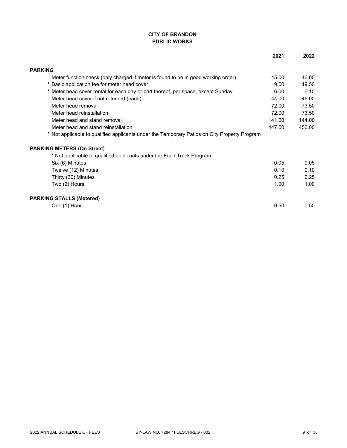## **CITY OF BRANDON PUBLIC WORKS**

|                                                                                              | 2021   | 2022   |
|----------------------------------------------------------------------------------------------|--------|--------|
| <b>PARKING</b>                                                                               |        |        |
| Meter function check (only charged if meter is found to be in good working order)            | 45.00  | 46.00  |
| * Basic application fee for meter head cover                                                 | 19.00  | 19.50  |
| * Meter head cover rental for each day or part thereof, per space, except Sunday             | 6.00   | 6.10   |
| Meter head cover if not returned (each)                                                      | 44.00  | 45.00  |
| Meter head removal                                                                           | 72.00  | 73.50  |
| Meter head reinstallation                                                                    | 72.00  | 73.50  |
| Meter head and stand removal                                                                 | 141.00 | 144.00 |
| Meter head and stand reinstallation                                                          | 447.00 | 456.00 |
| * Not applicable to qualified applicants under the Temporary Patios on City Property Program |        |        |
| <b>PARKING METERS (On Street)</b>                                                            |        |        |
| * Not applicable to qualified applicants under the Food Truck Program                        |        |        |
| Six (6) Minutes                                                                              | 0.05   | 0.05   |
| Twelve (12) Minutes                                                                          | 0.10   | 0.10   |
| Thirty (30) Minutes                                                                          | 0.25   | 0.25   |
| Two (2) Hours                                                                                | 1.00   | 1.00   |
| <b>PARKING STALLS (Metered)</b>                                                              |        |        |
| One (1) Hour                                                                                 | 0.50   | 0.50   |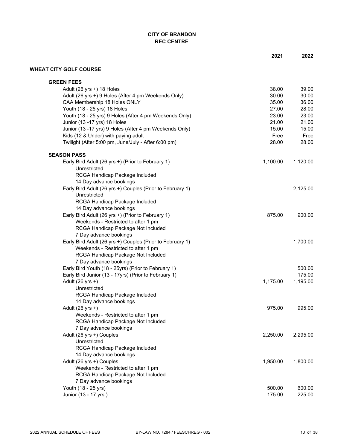# **CITY OF BRANDON REC CENTRE**

|                                                                           | 2021     | 2022     |
|---------------------------------------------------------------------------|----------|----------|
| <b>WHEAT CITY GOLF COURSE</b>                                             |          |          |
| <b>GREEN FEES</b>                                                         |          |          |
| Adult (26 yrs +) 18 Holes                                                 | 38.00    | 39.00    |
| Adult (26 yrs +) 9 Holes (After 4 pm Weekends Only)                       | 30.00    | 30.00    |
| CAA Membership 18 Holes ONLY                                              | 35.00    | 36.00    |
| Youth (18 - 25 yrs) 18 Holes                                              | 27.00    | 28.00    |
| Youth (18 - 25 yrs) 9 Holes (After 4 pm Weekends Only)                    | 23.00    | 23.00    |
| Junior (13 - 17 yrs) 18 Holes                                             | 21.00    | 21.00    |
| Junior (13 -17 yrs) 9 Holes (After 4 pm Weekends Only)                    | 15.00    | 15.00    |
| Kids (12 & Under) with paying adult                                       | Free     | Free     |
| Twilight (After 5:00 pm, June/July - After 6:00 pm)                       | 28.00    | 28.00    |
| <b>SEASON PASS</b>                                                        |          |          |
| Early Bird Adult (26 yrs +) (Prior to February 1)                         | 1,100.00 | 1,120.00 |
| Unrestricted                                                              |          |          |
| RCGA Handicap Package Included                                            |          |          |
| 14 Day advance bookings                                                   |          |          |
| Early Bird Adult (26 yrs +) Couples (Prior to February 1)<br>Unrestricted |          | 2,125.00 |
| RCGA Handicap Package Included                                            |          |          |
| 14 Day advance bookings                                                   |          |          |
| Early Bird Adult (26 yrs +) (Prior to February 1)                         | 875.00   | 900.00   |
| Weekends - Restricted to after 1 pm                                       |          |          |
| RCGA Handicap Package Not Included                                        |          |          |
| 7 Day advance bookings                                                    |          |          |
| Early Bird Adult (26 yrs +) Couples (Prior to February 1)                 |          | 1,700.00 |
| Weekends - Restricted to after 1 pm                                       |          |          |
| RCGA Handicap Package Not Included                                        |          |          |
| 7 Day advance bookings                                                    |          |          |
| Early Bird Youth (18 - 25yrs) (Prior to February 1)                       |          | 500.00   |
| Early Bird Junior (13 - 17yrs) (Prior to February 1)                      |          | 175.00   |
| Adult (26 yrs +)                                                          | 1,175.00 | 1,195.00 |
| Unrestricted                                                              |          |          |
| RCGA Handicap Package Included                                            |          |          |
| 14 Day advance bookings                                                   |          |          |
| Adult (26 yrs +)                                                          | 975.00   | 995.00   |
| Weekends - Restricted to after 1 pm                                       |          |          |
| RCGA Handicap Package Not Included                                        |          |          |
| 7 Day advance bookings                                                    |          |          |
| Adult (26 yrs +) Couples                                                  | 2,250.00 | 2,295.00 |
| Unrestricted                                                              |          |          |
| RCGA Handicap Package Included                                            |          |          |
| 14 Day advance bookings                                                   |          |          |
| Adult (26 yrs +) Couples                                                  | 1,950.00 | 1,800.00 |
| Weekends - Restricted to after 1 pm                                       |          |          |
| RCGA Handicap Package Not Included                                        |          |          |
| 7 Day advance bookings                                                    |          |          |
| Youth (18 - 25 yrs)                                                       | 500.00   | 600.00   |
| Junior (13 - 17 yrs)                                                      | 175.00   | 225.00   |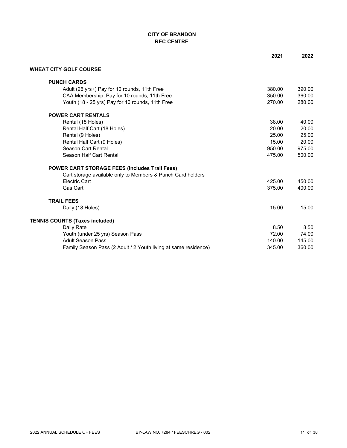# **CITY OF BRANDON REC CENTRE**

|                                                                 | 2021   | 2022   |
|-----------------------------------------------------------------|--------|--------|
| <b>WHEAT CITY GOLF COURSE</b>                                   |        |        |
| <b>PUNCH CARDS</b>                                              |        |        |
| Adult (26 yrs+) Pay for 10 rounds, 11th Free                    | 380.00 | 390.00 |
| CAA Membership, Pay for 10 rounds, 11th Free                    | 350.00 | 360.00 |
| Youth (18 - 25 yrs) Pay for 10 rounds, 11th Free                | 270.00 | 280.00 |
| <b>POWER CART RENTALS</b>                                       |        |        |
| Rental (18 Holes)                                               | 38.00  | 40.00  |
| Rental Half Cart (18 Holes)                                     | 20.00  | 20.00  |
| Rental (9 Holes)                                                | 25.00  | 25.00  |
| Rental Half Cart (9 Holes)                                      | 15.00  | 20.00  |
| Season Cart Rental                                              | 950.00 | 975.00 |
| Season Half Cart Rental                                         | 475.00 | 500.00 |
| <b>POWER CART STORAGE FEES (Includes Trail Fees)</b>            |        |        |
| Cart storage available only to Members & Punch Card holders     |        |        |
| <b>Electric Cart</b>                                            | 425.00 | 450.00 |
| Gas Cart                                                        | 375.00 | 400.00 |
| <b>TRAIL FEES</b>                                               |        |        |
| Daily (18 Holes)                                                | 15.00  | 15.00  |
| TENNIS COURTS (Taxes included)                                  |        |        |
| Daily Rate                                                      | 8.50   | 8.50   |
| Youth (under 25 yrs) Season Pass                                | 72.00  | 74.00  |
| <b>Adult Season Pass</b>                                        | 140.00 | 145.00 |
| Family Season Pass (2 Adult / 2 Youth living at same residence) | 345.00 | 360.00 |
|                                                                 |        |        |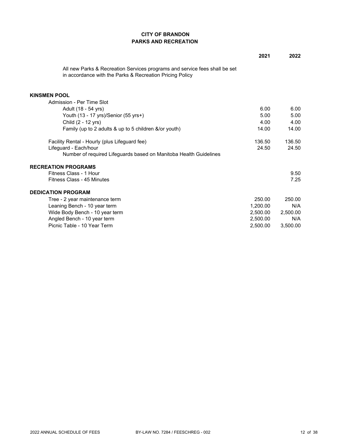## **CITY OF BRANDON PARKS AND RECREATION**

|                                                                                                                                        | 2021     | 2022     |
|----------------------------------------------------------------------------------------------------------------------------------------|----------|----------|
| All new Parks & Recreation Services programs and service fees shall be set<br>in accordance with the Parks & Recreation Pricing Policy |          |          |
| <b>KINSMEN POOL</b>                                                                                                                    |          |          |
| Admission - Per Time Slot                                                                                                              |          |          |
| Adult (18 - 54 yrs)                                                                                                                    | 6.00     | 6.00     |
| Youth (13 - 17 yrs)/Senior (55 yrs+)                                                                                                   | 5.00     | 5.00     |
| Child (2 - 12 yrs)                                                                                                                     | 4.00     | 4.00     |
| Family (up to 2 adults & up to 5 children &/or youth)                                                                                  | 14.00    | 14.00    |
| Facility Rental - Hourly (plus Lifeguard fee)                                                                                          | 136.50   | 136.50   |
| Lifeguard - Each/hour                                                                                                                  | 24.50    | 24.50    |
| Number of required Lifeguards based on Manitoba Health Guidelines                                                                      |          |          |
| <b>RECREATION PROGRAMS</b>                                                                                                             |          |          |
| Fitness Class - 1 Hour                                                                                                                 |          | 9.50     |
| Fitness Class - 45 Minutes                                                                                                             |          | 7.25     |
| <b>DEDICATION PROGRAM</b>                                                                                                              |          |          |
| Tree - 2 year maintenance term                                                                                                         | 250.00   | 250.00   |
| Leaning Bench - 10 year term                                                                                                           | 1.200.00 | N/A      |
| Wide Body Bench - 10 year term                                                                                                         | 2.500.00 | 2,500.00 |
| Angled Bench - 10 year term                                                                                                            | 2.500.00 | N/A      |
| Picnic Table - 10 Year Term                                                                                                            | 2,500.00 | 3,500.00 |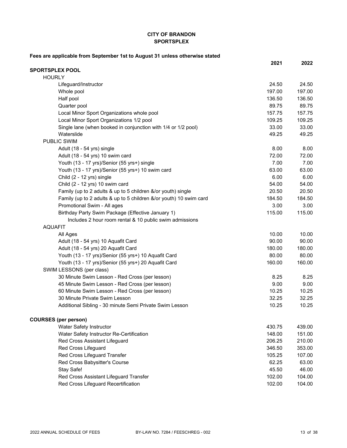#### **CITY OF BRANDON SPORTSPLEX**

| Fees are applicable from September 1st to August 31 unless otherwise stated |        |        |
|-----------------------------------------------------------------------------|--------|--------|
|                                                                             | 2021   | 2022   |
| <b>SPORTSPLEX POOL</b>                                                      |        |        |
| <b>HOURLY</b>                                                               |        |        |
| Lifeguard/Instructor                                                        | 24.50  | 24.50  |
| Whole pool                                                                  | 197.00 | 197.00 |
| Half pool                                                                   | 136.50 | 136.50 |
| Quarter pool                                                                | 89.75  | 89.75  |
| Local Minor Sport Organizations whole pool                                  | 157.75 | 157.75 |
| Local Minor Sport Organizations 1/2 pool                                    | 109.25 | 109.25 |
| Single lane (when booked in conjunction with 1/4 or 1/2 pool)               | 33.00  | 33.00  |
| Waterslide                                                                  | 49.25  | 49.25  |
| <b>PUBLIC SWIM</b>                                                          |        |        |
| Adult (18 - 54 yrs) single                                                  | 8.00   | 8.00   |
| Adult (18 - 54 yrs) 10 swim card                                            | 72.00  | 72.00  |
| Youth (13 - 17 yrs)/Senior (55 yrs+) single                                 | 7.00   | 7.00   |
| Youth (13 - 17 yrs)/Senior (55 yrs+) 10 swim card                           | 63.00  | 63.00  |
| Child (2 - 12 yrs) single                                                   | 6.00   | 6.00   |
| Child (2 - 12 yrs) 10 swim card                                             | 54.00  | 54.00  |
| Family (up to 2 adults & up to 5 children &/or youth) single                | 20.50  | 20.50  |
| Family (up to 2 adults & up to 5 children &/or youth) 10 swim card          | 184.50 | 184.50 |
| Promotional Swim - All ages                                                 | 3.00   | 3.00   |
| Birthday Party Swim Package (Effective January 1)                           | 115.00 | 115.00 |
| Includes 2 hour room rental & 10 public swim admissions                     |        |        |
| <b>AQUAFIT</b>                                                              |        |        |
| All Ages                                                                    | 10.00  | 10.00  |
| Adult (18 - 54 yrs) 10 Aquafit Card                                         | 90.00  | 90.00  |
| Adult (18 - 54 yrs) 20 Aquafit Card                                         | 180.00 | 180.00 |
| Youth (13 - 17 yrs)/Senior (55 yrs+) 10 Aquafit Card                        | 80.00  | 80.00  |
| Youth (13 - 17 yrs)/Senior (55 yrs+) 20 Aquafit Card                        | 160.00 | 160.00 |
| SWIM LESSONS (per class)                                                    |        |        |
| 30 Minute Swim Lesson - Red Cross (per lesson)                              | 8.25   | 8.25   |
| 45 Minute Swim Lesson - Red Cross (per lesson)                              | 9.00   | 9.00   |
| 60 Minute Swim Lesson - Red Cross (per lesson)                              | 10.25  | 10.25  |
| 30 Minute Private Swim Lesson                                               | 32.25  | 32.25  |
| Additional Sibling - 30 minute Semi Private Swim Lesson                     | 10.25  | 10.25  |
| <b>COURSES</b> (per person)                                                 |        |        |
| Water Safety Instructor                                                     | 430.75 | 439.00 |
| Water Safety Instructor Re-Certification                                    | 148.00 | 151.00 |
| Red Cross Assistant Lifeguard                                               | 206.25 | 210.00 |
| Red Cross Lifeguard                                                         | 346.50 | 353.00 |
| Red Cross Lifeguard Transfer                                                | 105.25 | 107.00 |
| Red Cross Babysitter's Course                                               | 62.25  | 63.00  |
| Stay Safe!                                                                  | 45.50  | 46.00  |
| Red Cross Assistant Lifeguard Transfer                                      | 102.00 | 104.00 |
| Red Cross Lifeguard Recertification                                         | 102.00 | 104.00 |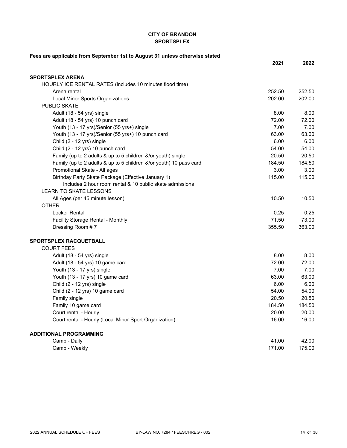#### **CITY OF BRANDON SPORTSPLEX**

| Fees are applicable from September 1st to August 31 unless otherwise stated |        |        |
|-----------------------------------------------------------------------------|--------|--------|
|                                                                             | 2021   | 2022   |
| <b>SPORTSPLEX ARENA</b>                                                     |        |        |
| HOURLY ICE RENTAL RATES (includes 10 minutes flood time)                    |        |        |
| Arena rental                                                                | 252.50 | 252.50 |
| Local Minor Sports Organizations                                            | 202.00 | 202.00 |
| <b>PUBLIC SKATE</b>                                                         |        |        |
| Adult (18 - 54 yrs) single                                                  | 8.00   | 8.00   |
| Adult (18 - 54 yrs) 10 punch card                                           | 72.00  | 72.00  |
| Youth (13 - 17 yrs)/Senior (55 yrs+) single                                 | 7.00   | 7.00   |
| Youth (13 - 17 yrs)/Senior (55 yrs+) 10 punch card                          | 63.00  | 63.00  |
| Child (2 - 12 yrs) single                                                   | 6.00   | 6.00   |
| Child (2 - 12 yrs) 10 punch card                                            | 54.00  | 54.00  |
| Family (up to 2 adults & up to 5 children &/or youth) single                | 20.50  | 20.50  |
| Family (up to 2 adults & up to 5 children &/or youth) 10 pass card          | 184.50 | 184.50 |
| Promotional Skate - All ages                                                | 3.00   | 3.00   |
| Birthday Party Skate Package (Effective January 1)                          | 115.00 | 115.00 |
| Includes 2 hour room rental & 10 public skate admissions                    |        |        |
| <b>LEARN TO SKATE LESSONS</b>                                               |        |        |
| All Ages (per 45 minute lesson)                                             | 10.50  | 10.50  |
| <b>OTHER</b>                                                                |        |        |
| <b>Locker Rental</b>                                                        | 0.25   | 0.25   |
| Facility Storage Rental - Monthly                                           | 71.50  | 73.00  |
| Dressing Room #7                                                            | 355.50 | 363.00 |
| SPORTSPLEX RACQUETBALL                                                      |        |        |
| <b>COURT FEES</b>                                                           |        |        |
| Adult (18 - 54 yrs) single                                                  | 8.00   | 8.00   |
| Adult (18 - 54 yrs) 10 game card                                            | 72.00  | 72.00  |
| Youth (13 - 17 yrs) single                                                  | 7.00   | 7.00   |
| Youth (13 - 17 yrs) 10 game card                                            | 63.00  | 63.00  |
| Child (2 - 12 yrs) single                                                   | 6.00   | 6.00   |
| Child (2 - 12 yrs) 10 game card                                             | 54.00  | 54.00  |
| Family single                                                               | 20.50  | 20.50  |
| Family 10 game card                                                         | 184.50 | 184.50 |
| Court rental - Hourly                                                       | 20.00  | 20.00  |
| Court rental - Hourly (Local Minor Sport Organization)                      | 16.00  | 16.00  |
| <b>ADDITIONAL PROGRAMMING</b>                                               |        |        |
| Camp - Daily                                                                | 41.00  | 42.00  |
| Camp - Weekly                                                               | 171.00 | 175.00 |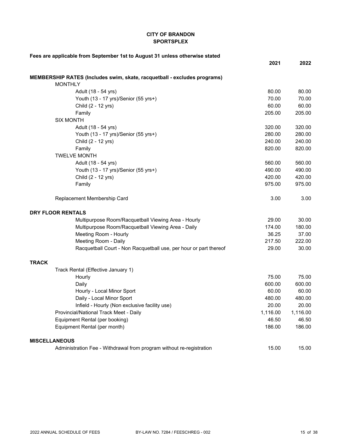### **CITY OF BRANDON SPORTSPLEX**

| Fees are applicable from September 1st to August 31 unless otherwise stated |          |          |
|-----------------------------------------------------------------------------|----------|----------|
|                                                                             | 2021     | 2022     |
| MEMBERSHIP RATES (Includes swim, skate, racquetball - excludes programs)    |          |          |
| <b>MONTHLY</b>                                                              |          |          |
| Adult (18 - 54 yrs)                                                         | 80.00    | 80.00    |
| Youth (13 - 17 yrs)/Senior (55 yrs+)                                        | 70.00    | 70.00    |
| Child (2 - 12 yrs)                                                          | 60.00    | 60.00    |
| Family                                                                      | 205.00   | 205.00   |
| <b>SIX MONTH</b>                                                            |          |          |
| Adult (18 - 54 yrs)                                                         | 320.00   | 320.00   |
| Youth (13 - 17 yrs)/Senior (55 yrs+)                                        | 280.00   | 280.00   |
| Child (2 - 12 yrs)                                                          | 240.00   | 240.00   |
| Family                                                                      | 820.00   | 820.00   |
| <b>TWELVE MONTH</b>                                                         |          |          |
| Adult (18 - 54 yrs)                                                         | 560.00   | 560.00   |
| Youth (13 - 17 yrs)/Senior (55 yrs+)                                        | 490.00   | 490.00   |
| Child (2 - 12 yrs)                                                          | 420.00   | 420.00   |
| Family                                                                      | 975.00   | 975.00   |
| Replacement Membership Card                                                 | 3.00     | 3.00     |
| <b>DRY FLOOR RENTALS</b>                                                    |          |          |
| Multipurpose Room/Racquetball Viewing Area - Hourly                         | 29.00    | 30.00    |
| Multipurpose Room/Racquetball Viewing Area - Daily                          | 174.00   | 180.00   |
| Meeting Room - Hourly                                                       | 36.25    | 37.00    |
| Meeting Room - Daily                                                        | 217.50   | 222.00   |
| Racquetball Court - Non Racquetball use, per hour or part thereof           | 29.00    | 30.00    |
| <b>TRACK</b>                                                                |          |          |
| Track Rental (Effective January 1)                                          |          |          |
| Hourly                                                                      | 75.00    | 75.00    |
| Daily                                                                       | 600.00   | 600.00   |
| Hourly - Local Minor Sport                                                  | 60.00    | 60.00    |
| Daily - Local Minor Sport                                                   | 480.00   | 480.00   |
| Infield - Hourly (Non exclusive facility use)                               | 20.00    | 20.00    |
| Provincial/National Track Meet - Daily                                      | 1,116.00 | 1,116.00 |
| Equipment Rental (per booking)                                              | 46.50    | 46.50    |
| Equipment Rental (per month)                                                | 186.00   | 186.00   |
| <b>MISCELLANEOUS</b>                                                        |          |          |
| Administration Fee - Withdrawal from program without re-registration        | 15.00    | 15.00    |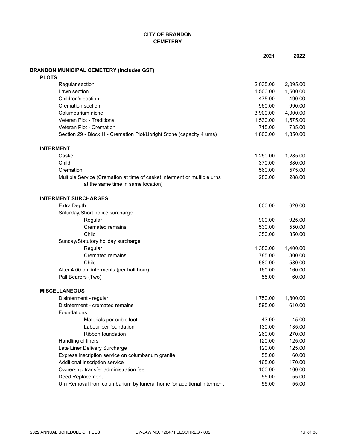## **CITY OF BRANDON CEMETERY**

|                                                                          | 2021     | 2022     |
|--------------------------------------------------------------------------|----------|----------|
| <b>BRANDON MUNICIPAL CEMETERY (includes GST)</b>                         |          |          |
| <b>PLOTS</b>                                                             |          |          |
| Regular section                                                          | 2,035.00 | 2,095.00 |
| Lawn section                                                             | 1,500.00 | 1,500.00 |
| Children's section                                                       | 475.00   | 490.00   |
| <b>Cremation section</b>                                                 | 960.00   | 990.00   |
| Columbarium niche                                                        | 3,900.00 | 4,000.00 |
| Veteran Plot - Traditional                                               | 1,530.00 | 1,575.00 |
| Veteran Plot - Cremation                                                 | 715.00   | 735.00   |
| Section 29 - Block H - Cremation Plot/Upright Stone (capacity 4 urns)    | 1,800.00 | 1,850.00 |
| <b>INTERMENT</b>                                                         |          |          |
| Casket                                                                   | 1,250.00 | 1,285.00 |
| Child                                                                    | 370.00   | 380.00   |
| Cremation                                                                | 560.00   | 575.00   |
| Multiple Service (Cremation at time of casket interment or multiple urns | 280.00   | 288.00   |
| at the same time in same location)                                       |          |          |
| <b>INTERMENT SURCHARGES</b>                                              |          |          |
| <b>Extra Depth</b>                                                       | 600.00   | 620.00   |
| Saturday/Short notice surcharge                                          |          |          |
| Regular                                                                  | 900.00   | 925.00   |
| <b>Cremated remains</b>                                                  | 530.00   | 550.00   |
| Child                                                                    | 350.00   | 350.00   |
| Sunday/Statutory holiday surcharge                                       |          |          |
| Regular                                                                  | 1,380.00 | 1,400.00 |
| <b>Cremated remains</b>                                                  | 785.00   | 800.00   |
| Child                                                                    | 580.00   | 580.00   |
| After 4:00 pm interments (per half hour)                                 | 160.00   | 160.00   |
| Pall Bearers (Two)                                                       | 55.00    | 60.00    |
| <b>MISCELLANEOUS</b>                                                     |          |          |
| Disinterment - regular                                                   | 1,750.00 | 1,800.00 |
| Disinterment - cremated remains                                          | 595.00   | 610.00   |
| Foundations                                                              |          |          |
| Materials per cubic foot                                                 | 43.00    | 45.00    |
| Labour per foundation                                                    | 130.00   | 135.00   |
| Ribbon foundation                                                        | 260.00   | 270.00   |
| Handling of liners                                                       | 120.00   | 125.00   |
| Late Liner Delivery Surcharge                                            | 120.00   | 125.00   |
| Express inscription service on columbarium granite                       | 55.00    | 60.00    |
| Additional inscription service                                           | 165.00   | 170.00   |
| Ownership transfer administration fee                                    | 100.00   | 100.00   |
| Deed Replacement                                                         | 55.00    | 55.00    |
| Urn Removal from columbarium by funeral home for additional interment    | 55.00    | 55.00    |
|                                                                          |          |          |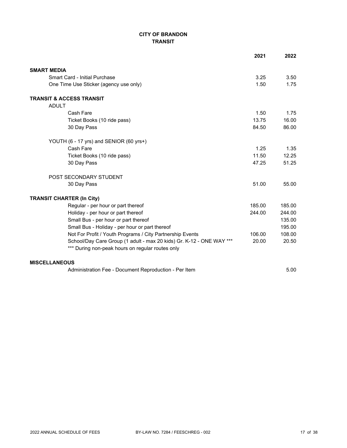## **CITY OF BRANDON TRANSIT**

|                                                                      | 2021   | 2022       |
|----------------------------------------------------------------------|--------|------------|
| <b>SMART MEDIA</b>                                                   |        |            |
| Smart Card - Initial Purchase                                        | 3.25   | 3.50       |
| One Time Use Sticker (agency use only)                               | 1.50   | 1.75       |
| <b>TRANSIT &amp; ACCESS TRANSIT</b>                                  |        |            |
| <b>ADULT</b>                                                         |        |            |
| Cash Fare                                                            | 1.50   | 1.75       |
| Ticket Books (10 ride pass)                                          | 13.75  | 16.00      |
| 30 Day Pass                                                          | 84.50  | 86.00      |
| YOUTH (6 - 17 yrs) and SENIOR (60 yrs+)                              |        |            |
| Cash Fare                                                            | 1.25   | 1.35       |
| Ticket Books (10 ride pass)                                          | 11.50  | 12.25      |
| 30 Day Pass                                                          | 47.25  | 51.25      |
| POST SECONDARY STUDENT                                               |        |            |
| 30 Day Pass                                                          | 51.00  | 55.00      |
| <b>TRANSIT CHARTER (In City)</b>                                     |        |            |
| Regular - per hour or part thereof                                   | 185.00 | 185.00     |
| Holiday - per hour or part thereof                                   | 244.00 | 244.00     |
| Small Bus - per hour or part thereof                                 |        | 135.00     |
| Small Bus - Holiday - per hour or part thereof                       |        | 195.00     |
| Not For Profit / Youth Programs / City Partnership Events            | 106.00 | 108.00     |
| School/Day Care Group (1 adult - max 20 kids) Gr. K-12 - ONE WAY *** | 20.00  | 20.50      |
| *** During non-peak hours on regular routes only                     |        |            |
| <b>MISCELLANEOUS</b>                                                 |        |            |
| Administration For December Dennediction Den It                      |        | $F \cap C$ |

Administration Fee - Document Reproduction - Per Item 6.00 5.00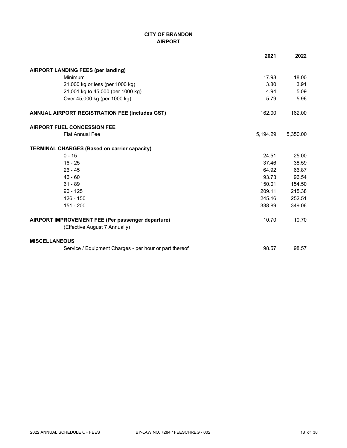# **CITY OF BRANDON AIRPORT**

|                                                        | 2021     | 2022     |
|--------------------------------------------------------|----------|----------|
| <b>AIRPORT LANDING FEES (per landing)</b>              |          |          |
| Minimum                                                | 17.98    | 18.00    |
| 21,000 kg or less (per 1000 kg)                        | 3.80     | 3.91     |
| 21,001 kg to 45,000 (per 1000 kg)                      | 4.94     | 5.09     |
| Over 45,000 kg (per 1000 kg)                           | 5.79     | 5.96     |
| <b>ANNUAL AIRPORT REGISTRATION FEE (includes GST)</b>  | 162.00   | 162.00   |
| <b>AIRPORT FUEL CONCESSION FEE</b>                     |          |          |
| <b>Flat Annual Fee</b>                                 | 5,194.29 | 5,350.00 |
| <b>TERMINAL CHARGES (Based on carrier capacity)</b>    |          |          |
| $0 - 15$                                               | 24.51    | 25.00    |
| $16 - 25$                                              | 37.46    | 38.59    |
| $26 - 45$                                              | 64.92    | 66.87    |
| $46 - 60$                                              | 93.73    | 96.54    |
| $61 - 89$                                              | 150.01   | 154.50   |
| $90 - 125$                                             | 209.11   | 215.38   |
| $126 - 150$                                            | 245.16   | 252.51   |
| 151 - 200                                              | 338.89   | 349.06   |
| AIRPORT IMPROVEMENT FEE (Per passenger departure)      | 10.70    | 10.70    |
| (Effective August 7 Annually)                          |          |          |
| <b>MISCELLANEOUS</b>                                   |          |          |
| Service / Equipment Charges - per hour or part thereof | 98.57    | 98.57    |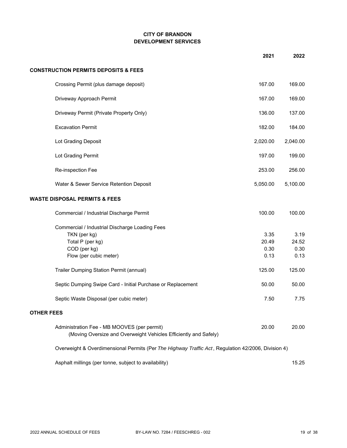## **CITY OF BRANDON DEVELOPMENT SERVICES**

|                                                                                                                 | 2021     | 2022     |
|-----------------------------------------------------------------------------------------------------------------|----------|----------|
| <b>CONSTRUCTION PERMITS DEPOSITS &amp; FEES</b>                                                                 |          |          |
| Crossing Permit (plus damage deposit)                                                                           | 167.00   | 169.00   |
| Driveway Approach Permit                                                                                        | 167.00   | 169.00   |
| Driveway Permit (Private Property Only)                                                                         | 136.00   | 137.00   |
| <b>Excavation Permit</b>                                                                                        | 182.00   | 184.00   |
| Lot Grading Deposit                                                                                             | 2,020.00 | 2,040.00 |
| Lot Grading Permit                                                                                              | 197.00   | 199.00   |
| Re-inspection Fee                                                                                               | 253.00   | 256.00   |
| Water & Sewer Service Retention Deposit                                                                         | 5,050.00 | 5,100.00 |
| <b>WASTE DISPOSAL PERMITS &amp; FEES</b>                                                                        |          |          |
| Commercial / Industrial Discharge Permit                                                                        | 100.00   | 100.00   |
| Commercial / Industrial Discharge Loading Fees                                                                  |          |          |
| TKN (per kg)                                                                                                    | 3.35     | 3.19     |
| Total P (per kg)                                                                                                | 20.49    | 24.52    |
| COD (per kg)                                                                                                    | 0.30     | 0.30     |
| Flow (per cubic meter)                                                                                          | 0.13     | 0.13     |
| Trailer Dumping Station Permit (annual)                                                                         | 125.00   | 125.00   |
| Septic Dumping Swipe Card - Initial Purchase or Replacement                                                     | 50.00    | 50.00    |
| Septic Waste Disposal (per cubic meter)                                                                         | 7.50     | 7.75     |
| <b>OTHER FEES</b>                                                                                               |          |          |
| Administration Fee - MB MOOVES (per permit)<br>(Moving Oversize and Overweight Vehicles Efficiently and Safely) | 20.00    | 20.00    |
| Overweight & Overdimensional Permits (Per The Highway Traffic Act, Regulation 42/2006, Division 4)              |          |          |
| Asphalt millings (per tonne, subject to availability)                                                           |          | 15.25    |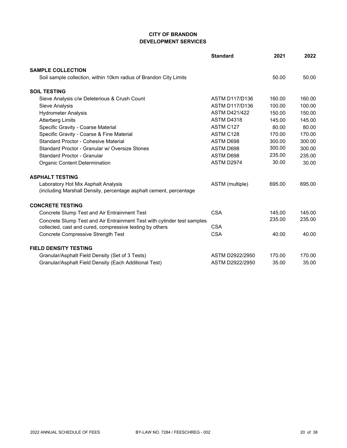## **CITY OF BRANDON DEVELOPMENT SERVICES**

|                                                                         | <b>Standard</b>       | 2021   | 2022   |
|-------------------------------------------------------------------------|-----------------------|--------|--------|
| <b>SAMPLE COLLECTION</b>                                                |                       |        |        |
| Soil sample collection, within 10km radius of Brandon City Limits       |                       | 50.00  | 50.00  |
| <b>SOIL TESTING</b>                                                     |                       |        |        |
| Sieve Analysis c/w Deleterious & Crush Count                            | <b>ASTM D117/D136</b> | 160.00 | 160.00 |
| <b>Sieve Analysis</b>                                                   | <b>ASTM D117/D136</b> | 100.00 | 100.00 |
| <b>Hydrometer Analysis</b>                                              | <b>ASTM D421/422</b>  | 150.00 | 150.00 |
| <b>Atterberg Limits</b>                                                 | <b>ASTM D4318</b>     | 145.00 | 145.00 |
| Specific Gravity - Coarse Material                                      | ASTM C127             | 80.00  | 80.00  |
| Specific Gravity - Coarse & Fine Material                               | ASTM C128             | 170.00 | 170.00 |
| Standard Proctor - Cohesive Material                                    | ASTM D698             | 300.00 | 300.00 |
| Standard Proctor - Granular w/ Oversize Stones                          | ASTM D698             | 300.00 | 300.00 |
| Standard Proctor - Granular                                             | ASTM D698             | 235.00 | 235.00 |
| <b>Organic Content Determination</b>                                    | ASTM D2974            | 30.00  | 30.00  |
| <b>ASPHALT TESTING</b>                                                  |                       |        |        |
| Laboratory Hot Mix Asphalt Analysis                                     | ASTM (multiple)       | 695.00 | 695.00 |
| (including Marshall Density, percentage asphalt cement, percentage      |                       |        |        |
| <b>CONCRETE TESTING</b>                                                 |                       |        |        |
| Concrete Slump Test and Air Entrainment Test                            | <b>CSA</b>            | 145.00 | 145.00 |
| Concrete Slump Test and Air Entrainment Test with cylinder test samples |                       | 235.00 | 235.00 |
| collected, cast and cured, compressive testing by others                | <b>CSA</b>            |        |        |
| <b>Concrete Compressive Strength Test</b>                               | <b>CSA</b>            | 40.00  | 40.00  |
| <b>FIELD DENSITY TESTING</b>                                            |                       |        |        |
| Granular/Asphalt Field Density (Set of 3 Tests)                         | ASTM D2922/2950       | 170.00 | 170.00 |
| Granular/Asphalt Field Density (Each Additional Test)                   | ASTM D2922/2950       | 35.00  | 35.00  |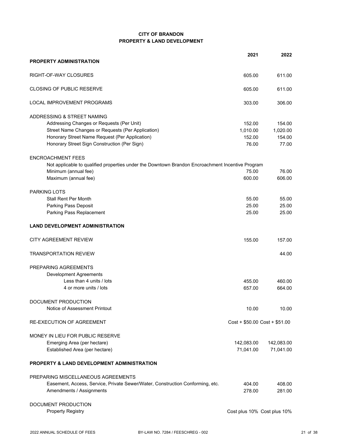#### **CITY OF BRANDON PROPERTY & LAND DEVELOPMENT**

|                                                                                                  | 2021                          | 2022                        |
|--------------------------------------------------------------------------------------------------|-------------------------------|-----------------------------|
| <b>PROPERTY ADMINISTRATION</b>                                                                   |                               |                             |
| RIGHT-OF-WAY CLOSURES                                                                            | 605.00                        | 611.00                      |
| CLOSING OF PUBLIC RESERVE                                                                        | 605.00                        | 611.00                      |
| LOCAL IMPROVEMENT PROGRAMS                                                                       | 303.00                        | 306.00                      |
| ADDRESSING & STREET NAMING                                                                       |                               |                             |
| Addressing Changes or Requests (Per Unit)                                                        | 152.00                        | 154.00                      |
| Street Name Changes or Requests (Per Application)                                                | 1,010.00                      | 1,020.00                    |
| Honorary Street Name Request (Per Application)                                                   | 152.00                        | 154.00                      |
| Honorary Street Sign Construction (Per Sign)                                                     | 76.00                         | 77.00                       |
| <b>ENCROACHMENT FEES</b>                                                                         |                               |                             |
| Not applicable to qualified properties under the Downtown Brandon Encroachment Incentive Program |                               |                             |
| Minimum (annual fee)                                                                             | 75.00                         | 76.00                       |
| Maximum (annual fee)                                                                             | 600.00                        | 606.00                      |
| <b>PARKING LOTS</b>                                                                              |                               |                             |
| <b>Stall Rent Per Month</b>                                                                      | 55.00                         | 55.00                       |
| Parking Pass Deposit                                                                             | 25.00                         | 25.00                       |
| Parking Pass Replacement                                                                         | 25.00                         | 25.00                       |
| <b>LAND DEVELOPMENT ADMINISTRATION</b>                                                           |                               |                             |
| <b>CITY AGREEMENT REVIEW</b>                                                                     | 155.00                        | 157.00                      |
| <b>TRANSPORTATION REVIEW</b>                                                                     |                               | 44.00                       |
| PREPARING AGREEMENTS                                                                             |                               |                             |
| <b>Development Agreements</b>                                                                    |                               |                             |
| Less than 4 units / lots                                                                         | 455.00                        | 460.00                      |
| 4 or more units / lots                                                                           | 657.00                        | 664.00                      |
| DOCUMENT PRODUCTION                                                                              |                               |                             |
| Notice of Assessment Printout                                                                    | 10.00                         | 10.00                       |
| <b>RE-EXECUTION OF AGREEMENT</b>                                                                 | $Cost + $50.00 Cost + $51.00$ |                             |
| MONEY IN LIEU FOR PUBLIC RESERVE                                                                 |                               |                             |
| Emerging Area (per hectare)                                                                      | 142,083.00                    | 142,083.00                  |
| Established Area (per hectare)                                                                   | 71,041.00                     | 71,041.00                   |
| <b>PROPERTY &amp; LAND DEVELOPMENT ADMINISTRATION</b>                                            |                               |                             |
| PREPARING MISCELLANEOUS AGREEMENTS                                                               |                               |                             |
| Easement, Access, Service, Private Sewer/Water, Construction Conforming, etc.                    | 404.00                        | 408.00                      |
| Amendments / Assignments                                                                         | 278.00                        | 281.00                      |
| DOCUMENT PRODUCTION                                                                              |                               |                             |
| <b>Property Registry</b>                                                                         |                               | Cost plus 10% Cost plus 10% |
|                                                                                                  |                               |                             |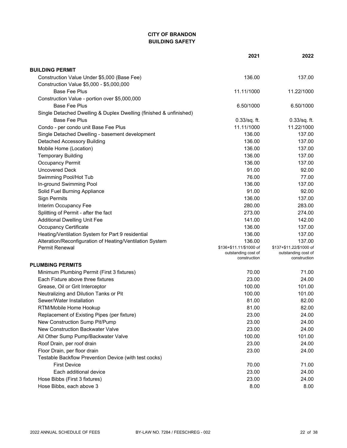# **CITY OF BRANDON BUILDING SAFETY**

|                                                                    | 2021                                                           | 2022                                                           |
|--------------------------------------------------------------------|----------------------------------------------------------------|----------------------------------------------------------------|
| <b>BUILDING PERMIT</b>                                             |                                                                |                                                                |
| Construction Value Under \$5,000 (Base Fee)                        | 136.00                                                         | 137.00                                                         |
| Construction Value \$5,000 - \$5,000,000                           |                                                                |                                                                |
| <b>Base Fee Plus</b>                                               | 11.11/1000                                                     | 11.22/1000                                                     |
| Construction Value - portion over \$5,000,000                      |                                                                |                                                                |
| <b>Base Fee Plus</b>                                               | 6.50/1000                                                      | 6.50/1000                                                      |
| Single Detached Dwelling & Duplex Dwelling (finished & unfinished) |                                                                |                                                                |
| <b>Base Fee Plus</b>                                               | $0.33$ /sq. ft.                                                | $0.33$ /sq. ft.                                                |
| Condo - per condo unit Base Fee Plus                               | 11.11/1000                                                     | 11.22/1000                                                     |
| Single Detached Dwelling - basement development                    | 136.00                                                         | 137.00                                                         |
| <b>Detached Accessory Building</b>                                 | 136.00                                                         | 137.00                                                         |
| Mobile Home (Location)                                             | 136.00                                                         | 137.00                                                         |
| <b>Temporary Building</b>                                          | 136.00                                                         | 137.00                                                         |
| <b>Occupancy Permit</b>                                            | 136.00                                                         | 137.00                                                         |
| <b>Uncovered Deck</b>                                              | 91.00                                                          | 92.00                                                          |
| Swimming Pool/Hot Tub                                              | 76.00                                                          | 77.00                                                          |
| In-ground Swimming Pool                                            | 136.00                                                         | 137.00                                                         |
| Solid Fuel Burning Appliance                                       | 91.00                                                          | 92.00                                                          |
| <b>Sign Permits</b>                                                | 136.00                                                         | 137.00                                                         |
| Interim Occupancy Fee                                              | 280.00                                                         | 283.00                                                         |
| Splitting of Permit - after the fact                               | 273.00                                                         | 274.00                                                         |
| <b>Additional Dwelling Unit Fee</b>                                | 141.00                                                         | 142.00                                                         |
| <b>Occupancy Certificate</b>                                       | 136.00                                                         | 137.00                                                         |
| Heating/Ventilation System for Part 9 residential                  | 136.00                                                         | 137.00                                                         |
| Alteration/Reconfiguration of Heating/Ventilation System           | 136.00                                                         | 137.00                                                         |
| <b>Permit Renewal</b>                                              | \$136+\$11.11/\$1000 of<br>outstanding cost of<br>construction | \$137+\$11.22/\$1000 of<br>outstanding cost of<br>construction |
| <b>PLUMBING PERMITS</b>                                            |                                                                |                                                                |
| Minimum Plumbing Permit (First 3 fixtures)                         | 70.00                                                          | 71.00                                                          |
| Each Fixture above three fixtures                                  | 23.00                                                          | 24.00                                                          |
| Grease, Oil or Grit Interceptor                                    | 100.00                                                         | 101.00                                                         |
| Neutralizing and Dilution Tanks or Pit                             | 100.00                                                         | 101.00                                                         |
| Sewer/Water Installation                                           | 81.00                                                          | 82.00                                                          |
| RTM/Mobile Home Hookup                                             | 81.00                                                          | 82.00                                                          |
| Replacement of Existing Pipes (per fixture)                        | 23.00                                                          | 24.00                                                          |
| New Construction Sump Pit/Pump                                     | 23.00                                                          | 24.00                                                          |
| New Construction Backwater Valve                                   | 23.00                                                          | 24.00                                                          |
| All Other Sump Pump/Backwater Valve                                | 100.00                                                         | 101.00                                                         |
| Roof Drain, per roof drain                                         | 23.00                                                          | 24.00                                                          |
| Floor Drain, per floor drain                                       | 23.00                                                          | 24.00                                                          |
| Testable Backflow Prevention Device (with test cocks)              |                                                                |                                                                |
| <b>First Device</b>                                                | 70.00                                                          | 71.00                                                          |
| Each additional device                                             | 23.00                                                          | 24.00                                                          |
| Hose Bibbs (First 3 fixtures)                                      | 23.00                                                          | 24.00                                                          |
| Hose Bibbs, each above 3                                           | 8.00                                                           | 8.00                                                           |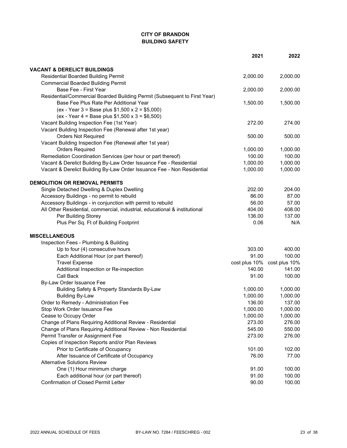# **CITY OF BRANDON BUILDING SAFETY**

|                                                                                          | 2021            | 2022            |
|------------------------------------------------------------------------------------------|-----------------|-----------------|
| <b>VACANT &amp; DERELICT BUILDINGS</b>                                                   |                 |                 |
| <b>Residential Boarded Building Permit</b>                                               | 2,000.00        | 2,000.00        |
| <b>Commercial Boarded Building Permit</b>                                                |                 |                 |
| Base Fee - First Year                                                                    | 2,000.00        | 2,000.00        |
| Residential/Commercial Boarded Building Permit (Subsequent to First Year)                |                 |                 |
| Base Fee Plus Rate Per Additional Year                                                   | 1,500.00        | 1,500.00        |
| (ex - Year 3 = Base plus $$1,500 \times 2 = $5,000$ )                                    |                 |                 |
| (ex - Year 4 = Base plus $$1,500 \times 3 = $6,500$ )                                    |                 |                 |
| Vacant Building Inspection Fee (1st Year)                                                | 272.00          | 274.00          |
| Vacant Building Inspection Fee (Renewal after 1st year)                                  |                 |                 |
| <b>Orders Not Required</b>                                                               | 500.00          | 500.00          |
| Vacant Building Inspection Fee (Renewal after 1st year)                                  |                 |                 |
| <b>Orders Required</b>                                                                   | 1,000.00        | 1,000.00        |
| Remediation Coordination Services (per hour or part thereof)                             | 100.00          | 100.00          |
| Vacant & Derelict Building By-Law Order Issuance Fee - Residential                       | 1,000.00        | 1,000.00        |
| Vacant & Derelict Building By-Law Order Issuance Fee - Non Residential                   | 1,000.00        | 1,000.00        |
| <b>DEMOLITION OR REMOVAL PERMITS</b>                                                     |                 |                 |
|                                                                                          |                 |                 |
| Single Detached Dwelling & Duplex Dwelling<br>Accessory Buildings - no permit to rebuild | 202.00<br>86.00 | 204.00<br>87.00 |
| Accessory Buildings - in conjunction with permit to rebuild                              | 56.00           | 57.00           |
| All Other Residential, commercial, industrial, educational & institutional               | 404.00          | 408.00          |
| Per Building Storey                                                                      | 136.00          | 137.00          |
| Plus Per Sq. Ft of Building Footprint                                                    | 0.06            | N/A             |
|                                                                                          |                 |                 |
| <b>MISCELLANEOUS</b>                                                                     |                 |                 |
| Inspection Fees - Plumbing & Building                                                    |                 |                 |
| Up to four (4) consecutive hours                                                         | 303.00          | 400.00          |
| Each Additional Hour (or part thereof)                                                   | 91.00           | 100.00          |
| <b>Travel Expense</b>                                                                    | cost plus 10%   | cost plus 10%   |
| Additional Inspection or Re-inspection                                                   | 140.00          | 141.00          |
| Call Back                                                                                | 91.00           | 100.00          |
| By-Law Order Issuance Fee                                                                |                 |                 |
| Building Safety & Property Standards By-Law                                              | 1,000.00        | 1,000.00        |
| <b>Building By-Law</b>                                                                   | 1,000.00        | 1,000.00        |
| Order to Remedy - Administration Fee                                                     | 136.00          | 137.00          |
| Stop Work Order Issuance Fee                                                             | 1,000.00        | 1,000.00        |
| Cease to Occupy Order                                                                    | 1,000.00        | 1,000.00        |
| Change of Plans Requiring Additional Review - Residential                                | 273.00          | 276.00          |
| Change of Plans Requiring Additional Review - Non Residential                            | 545.00          | 550.00          |
| Permit Transfer or Assignment Fee                                                        | 273.00          | 276.00          |
| Copies of Inspection Reports and/or Plan Reviews<br>Prior to Certificate of Occupancy    | 101.00          | 102.00          |
|                                                                                          |                 |                 |
| After Issuance of Certificate of Occupancy<br><b>Alternative Solutions Review</b>        | 76.00           | 77.00           |
| One (1) Hour minimum charge                                                              | 91.00           | 100.00          |
| Each additional hour (or part thereof)                                                   | 91.00           | 100.00          |
| <b>Confirmation of Closed Permit Letter</b>                                              | 90.00           | 100.00          |
|                                                                                          |                 |                 |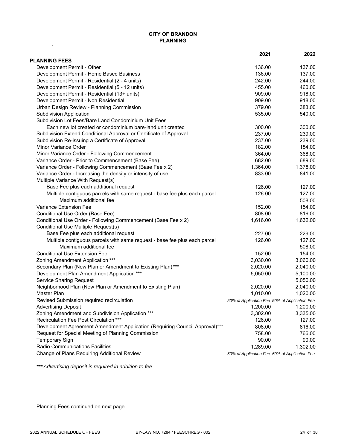### **CITY OF BRANDON PLANNING**

|                                                                             | 2021                                          | 2022     |
|-----------------------------------------------------------------------------|-----------------------------------------------|----------|
| <b>PLANNING FEES</b>                                                        |                                               |          |
| Development Permit - Other                                                  | 136.00                                        | 137.00   |
| Development Permit - Home Based Business                                    | 136.00                                        | 137.00   |
| Development Permit - Residential (2 - 4 units)                              | 242.00                                        | 244.00   |
| Development Permit - Residential (5 - 12 units)                             | 455.00                                        | 460.00   |
| Development Permit - Residential (13+ units)                                | 909.00                                        | 918.00   |
| Development Permit - Non Residential                                        | 909.00                                        | 918.00   |
| Urban Design Review - Planning Commission                                   | 379.00                                        | 383.00   |
| <b>Subdivision Application</b>                                              | 535.00                                        | 540.00   |
| Subdivision Lot Fees/Bare Land Condominium Unit Fees                        |                                               |          |
| Each new lot created or condominium bare-land unit created                  | 300.00                                        | 300.00   |
| Subdivision Extend Conditional Approval or Certificate of Approval          | 237.00                                        | 239.00   |
| Subdivision Re-issuing a Certificate of Approval                            | 237.00                                        | 239.00   |
| Minor Variance Order                                                        | 182.00                                        | 184.00   |
| Minor Variance Order - Following Commencement                               | 364.00                                        | 368.00   |
| Variance Order - Prior to Commencement (Base Fee)                           | 682.00                                        | 689.00   |
| Variance Order - Following Commencement (Base Fee x 2)                      | 1,364.00                                      | 1,378.00 |
| Variance Order - Increasing the density or intensity of use                 | 833.00                                        | 841.00   |
| Multiple Variance With Request(s)                                           |                                               |          |
| Base Fee plus each additional request                                       | 126.00                                        | 127.00   |
| Multiple contiguous parcels with same request - base fee plus each parcel   | 126.00                                        | 127.00   |
| Maximum additional fee                                                      |                                               | 508.00   |
| Variance Extension Fee                                                      | 152.00                                        | 154.00   |
| Conditional Use Order (Base Fee)                                            | 808.00                                        | 816.00   |
| Conditional Use Order - Following Commencement (Base Fee x 2)               | 1,616.00                                      | 1,632.00 |
| Conditional Use Multiple Request(s)                                         |                                               |          |
| Base Fee plus each additional request                                       | 227.00                                        | 229.00   |
| Multiple contiguous parcels with same request - base fee plus each parcel   | 126.00                                        | 127.00   |
| Maximum additional fee                                                      |                                               | 508.00   |
| <b>Conditional Use Extension Fee</b>                                        | 152.00                                        | 154.00   |
| Zoning Amendment Application ***                                            | 3,030.00                                      | 3,060.00 |
| Secondary Plan (New Plan or Amendment to Existing Plan)***                  | 2,020.00                                      | 2,040.00 |
| Development Plan Amendment Application ***                                  | 5,050.00                                      | 5,100.00 |
| <b>Service Sharing Request</b>                                              |                                               | 5,050.00 |
| Neighborhood Plan (New Plan or Amendment to Existing Plan)                  | 2,020.00                                      | 2,040.00 |
| Master Plan                                                                 | 1,010.00                                      | 1,020.00 |
| Revised Submission required recirculation                                   | 50% of Application Fee 50% of Application Fee |          |
| <b>Advertising Deposit</b>                                                  | 1,200.00                                      | 1,200.00 |
| Zoning Amendment and Subdivision Application ***                            | 3,302.00                                      | 3,335.00 |
| Recirculation Fee Post Circulation ***                                      | 126.00                                        | 127.00   |
| Development Agreement Amendment Application (Requiring Council Approval)*** | 808.00                                        | 816.00   |
| Request for Special Meeting of Planning Commission                          | 758.00                                        | 766.00   |
| <b>Temporary Sign</b>                                                       | 90.00                                         | 90.00    |
| Radio Communications Facilities                                             | 1,289.00                                      | 1,302.00 |
| Change of Plans Requiring Additional Review                                 | 50% of Application Fee 50% of Application Fee |          |

*\*\*\* Advertising deposit is required in addition to fee*

Planning Fees continued on next page

**`**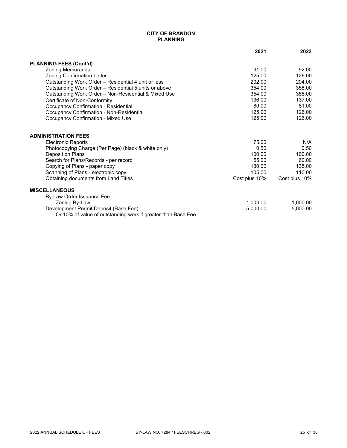#### **CITY OF BRANDON PLANNING**

|                                                                                                       | 2021          | 2022          |
|-------------------------------------------------------------------------------------------------------|---------------|---------------|
| <b>PLANNING FEES (Cont'd)</b>                                                                         |               |               |
| Zoning Memoranda                                                                                      | 91.00         | 92.00         |
| <b>Zoning Confirmation Letter</b>                                                                     | 125.00        | 126.00        |
| Outstanding Work Order - Residential 4 unit or less                                                   | 202.00        | 204.00        |
| Outstanding Work Order - Residential 5 units or above                                                 | 354.00        | 358.00        |
| Outstanding Work Order - Non-Residential & Mixed Use                                                  | 354.00        | 358.00        |
| Certificate of Non-Conformity                                                                         | 136.00        | 137.00        |
| Occupancy Confirmation - Residential                                                                  | 80.00         | 81.00         |
| <b>Occupancy Confirmation - Non-Residential</b>                                                       | 125.00        | 126.00        |
| <b>Occupancy Confirmation - Mixed Use</b>                                                             | 125.00        | 126.00        |
| <b>ADMINISTRATION FEES</b>                                                                            |               |               |
| <b>Electronic Reports</b>                                                                             | 75.00         | N/A           |
| Photocopying Charge (Per Page) (black & white only)                                                   | 0.50          | 0.50          |
| Deposit on Plans                                                                                      | 100.00        | 100.00        |
| Search for Plans/Records - per record                                                                 | 55.00         | 60.00         |
| Copying of Plans - paper copy                                                                         | 130.00        | 135.00        |
| Scanning of Plans - electronic copy                                                                   | 105.00        | 110.00        |
| Obtaining documents from Land Titles                                                                  | Cost plus 10% | Cost plus 10% |
| <b>MISCELLANEOUS</b>                                                                                  |               |               |
| By-Law Order Issuance Fee                                                                             |               |               |
| Zoning By-Law                                                                                         | 1,000.00      | 1,000.00      |
| Development Permit Deposit (Base Fee)<br>Or 10% of value of outstanding work if greater than Base Fee | 5,000.00      | 5,000.00      |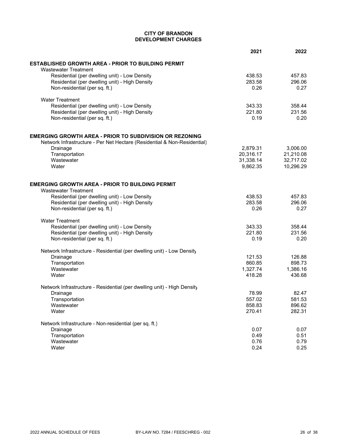#### **CITY OF BRANDON DEVELOPMENT CHARGES**

|                                                                                 | 2021           | 2022           |
|---------------------------------------------------------------------------------|----------------|----------------|
| ESTABLISHED GROWTH AREA - PRIOR TO BUILDING PERMIT                              |                |                |
| <b>Wastewater Treatment</b>                                                     |                |                |
| Residential (per dwelling unit) - Low Density                                   | 438.53         | 457.83         |
| Residential (per dwelling unit) - High Density                                  | 283.58         | 296.06         |
| Non-residential (per sq. ft.)                                                   | 0.26           | 0.27           |
| <b>Water Treatment</b>                                                          |                |                |
| Residential (per dwelling unit) - Low Density                                   | 343.33         | 358.44         |
| Residential (per dwelling unit) - High Density                                  | 221.80         | 231.56         |
| Non-residential (per sq. ft.)                                                   | 0.19           | 0.20           |
| EMERGING GROWTH AREA - PRIOR TO SUBDIVISION OR REZONING                         |                |                |
| Network Infrastructure - Per Net Hectare (Residential & Non-Residential)        |                |                |
| Drainage                                                                        | 2,879.31       | 3,006.00       |
| Transportation                                                                  | 20,316.17      | 21,210.08      |
| Wastewater                                                                      | 31,338.14      | 32,717.02      |
| Water                                                                           | 9,862.35       | 10,296.29      |
|                                                                                 |                |                |
| EMERGING GROWTH AREA - PRIOR TO BUILDING PERMIT                                 |                |                |
| <b>Wastewater Treatment</b>                                                     |                | 457.83         |
| Residential (per dwelling unit) - Low Density                                   | 438.53         |                |
| Residential (per dwelling unit) - High Density<br>Non-residential (per sq. ft.) | 283.58<br>0.26 | 296.06<br>0.27 |
| <b>Water Treatment</b>                                                          |                |                |
| Residential (per dwelling unit) - Low Density                                   | 343.33         | 358.44         |
| Residential (per dwelling unit) - High Density                                  | 221.80         | 231.56         |
| Non-residential (per sq. ft.)                                                   | 0.19           | 0.20           |
|                                                                                 |                |                |
| Network Infrastructure - Residential (per dwelling unit) - Low Density          |                |                |
| Drainage                                                                        | 121.53         | 126.88         |
| Transportation                                                                  | 860.85         | 898.73         |
| Wastewater                                                                      | 1,327.74       | 1,386.16       |
| Water                                                                           | 418.28         | 436.68         |
| Network Infrastructure - Residential (per dwelling unit) - High Density         |                |                |
| Drainage                                                                        | 78.99          | 82.47          |
| Transportation                                                                  | 557.02         | 581.53         |
| Wastewater                                                                      | 858.83         | 896.62         |
| Water                                                                           | 270.41         | 282.31         |
| Network Infrastructure - Non-residential (per sq. ft.)                          |                |                |
| Drainage                                                                        | 0.07           | 0.07           |
| Transportation                                                                  | 0.49           | 0.51           |
| Wastewater                                                                      | 0.76           | 0.79           |
| Water                                                                           | 0.24           | 0.25           |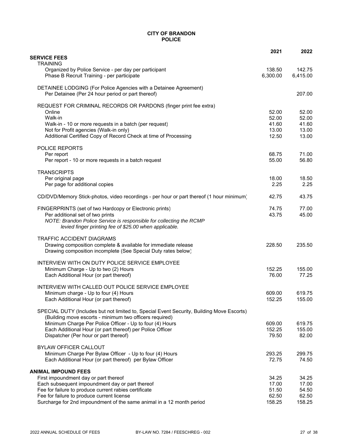#### **CITY OF BRANDON POLICE**

|                                                                                                                                                      | 2021               | 2022               |
|------------------------------------------------------------------------------------------------------------------------------------------------------|--------------------|--------------------|
| <b>SERVICE FEES</b><br><b>TRAINING</b>                                                                                                               |                    |                    |
| Organized by Police Service - per day per participant<br>Phase B Recruit Training - per participate                                                  | 138.50<br>6,300.00 | 142.75<br>6,415.00 |
| DETAINEE LODGING (For Police Agencies with a Detainee Agreement)<br>Per Detainee (Per 24 hour period or part thereof)                                |                    | 207.00             |
| REQUEST FOR CRIMINAL RECORDS OR PARDONS (finger print fee extra)                                                                                     |                    |                    |
| Online                                                                                                                                               | 52.00              | 52.00              |
| Walk-in<br>Walk-in - 10 or more requests in a batch (per request)                                                                                    | 52.00<br>41.60     | 52.00<br>41.60     |
| Not for Profit agencies (Walk-in only)                                                                                                               | 13.00              | 13.00              |
| Additional Certified Copy of Record Check at time of Processing                                                                                      | 12.50              | 13.00              |
| POLICE REPORTS                                                                                                                                       |                    |                    |
| Per report                                                                                                                                           | 68.75              | 71.00              |
| Per report - 10 or more requests in a batch request                                                                                                  | 55.00              | 56.80              |
| <b>TRANSCRIPTS</b>                                                                                                                                   |                    |                    |
| Per original page<br>Per page for additional copies                                                                                                  | 18.00<br>2.25      | 18.50<br>2.25      |
|                                                                                                                                                      |                    |                    |
| CD/DVD/Memory Stick-photos, video recordings - per hour or part thereof (1 hour minimum)                                                             | 42.75              | 43.75              |
| FINGERPRINTS (set of two Hardcopy or Electronic prints)                                                                                              | 74.75              | 77.00              |
| Per additional set of two prints<br>NOTE: Brandon Police Service is responsible for collecting the RCMP                                              | 43.75              | 45.00              |
| levied finger printing fee of \$25.00 when applicable.                                                                                               |                    |                    |
| <b>TRAFFIC ACCIDENT DIAGRAMS</b>                                                                                                                     |                    |                    |
| Drawing composition complete & available for immediate release                                                                                       | 228.50             | 235.50             |
| Drawing composition incomplete (See Special Duty rates below)                                                                                        |                    |                    |
| INTERVIEW WITH ON DUTY POLICE SERVICE EMPLOYEE                                                                                                       |                    |                    |
| Minimum Charge - Up to two (2) Hours                                                                                                                 | 152.25             | 155.00             |
| Each Additional Hour (or part thereof)                                                                                                               | 76.00              | 77.25              |
| INTERVIEW WITH CALLED OUT POLICE SERVICE EMPLOYEE                                                                                                    |                    |                    |
| Minimum charge - Up to four (4) Hours<br>Each Additional Hour (or part thereof)                                                                      | 609.00<br>152.25   | 619.75<br>155.00   |
|                                                                                                                                                      |                    |                    |
| SPECIAL DUTY (Includes but not limited to, Special Event Security, Building Move Escorts)<br>(Building move escorts - minimum two officers required) |                    |                    |
| Minimum Charge Per Police Officer - Up to four (4) Hours                                                                                             | 609.00             | 619.75             |
| Each Additional Hour (or part thereof) per Police Officer                                                                                            | 152.25             | 155.00             |
| Dispatcher (Per hour or part thereof)                                                                                                                | 79.50              | 82.00              |
| <b>BYLAW OFFICER CALLOUT</b>                                                                                                                         |                    |                    |
| Minimum Charge Per Bylaw Officer - Up to four (4) Hours<br>Each Additional Hour (or part thereof) per Bylaw Officer                                  | 293.25<br>72.75    | 299.75<br>74.50    |
|                                                                                                                                                      |                    |                    |
| <b>ANIMAL IMPOUND FEES</b><br>First impoundment day or part thereof                                                                                  | 34.25              | 34.25              |
| Each subsequent impoundment day or part thereof                                                                                                      | 17.00              | 17.00              |
| Fee for failure to produce current rabies certificate                                                                                                | 51.50              | 54.50              |
| Fee for failure to produce current license<br>Surcharge for 2nd impoundment of the same animal in a 12 month period                                  | 62.50<br>158.25    | 62.50<br>158.25    |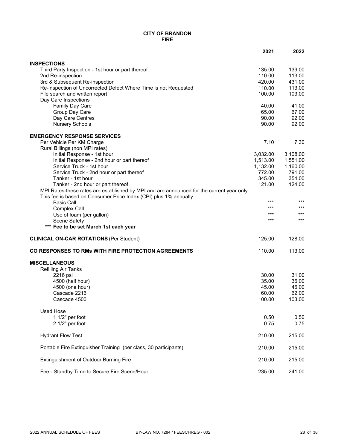#### **CITY OF BRANDON FIRE**

|                                                                                          | 2021           | 2022           |
|------------------------------------------------------------------------------------------|----------------|----------------|
| <b>INSPECTIONS</b>                                                                       |                |                |
| Third Party Inspection - 1st hour or part thereof                                        | 135.00         | 139.00         |
| 2nd Re-inspection                                                                        | 110.00         | 113.00         |
| 3rd & Subsequent Re-inspection                                                           | 420.00         | 431.00         |
| Re-inspection of Uncorrected Defect Where Time is not Requested                          | 110.00         | 113.00         |
| File search and written report                                                           | 100.00         | 103.00         |
| Day Care Inspections                                                                     |                |                |
| Family Day Care                                                                          | 40.00          | 41.00          |
| Group Day Care<br>Day Care Centres                                                       | 65.00<br>90.00 | 67.00<br>92.00 |
| <b>Nursery Schools</b>                                                                   | 90.00          | 92.00          |
|                                                                                          |                |                |
| <b>EMERGENCY RESPONSE SERVICES</b>                                                       |                |                |
| Per Vehicle Per KM Charge                                                                | 7.10           | 7.30           |
| Rural Billings (non MPI rates)                                                           |                |                |
| Initial Response - 1st hour                                                              | 3,032.00       | 3,108.00       |
| Initial Response - 2nd hour or part thereof                                              | 1,513.00       | 1,551.00       |
| Service Truck - 1st hour                                                                 | 1,132.00       | 1,160.00       |
| Service Truck - 2nd hour or part thereof                                                 | 772.00         | 791.00         |
| Tanker - 1st hour                                                                        | 345.00         | 354.00         |
| Tanker - 2nd hour or part thereof                                                        | 121.00         | 124.00         |
| MPI Rates-these rates are established by MPI and are announced for the current year only |                |                |
| This fee is based on Consumer Price Index (CPI) plus 1% annually.                        | ***            | $***$          |
| <b>Basic Call</b>                                                                        | ***            | $***$          |
| Complex Call                                                                             | ***            | $***$          |
| Use of foam (per gallon)                                                                 | ***            | $***$          |
| <b>Scene Safety</b>                                                                      |                |                |
| *** Fee to be set March 1st each year                                                    |                |                |
| <b>CLINICAL ON-CAR ROTATIONS (Per Student)</b>                                           | 125.00         | 128.00         |
| CO RESPONSES TO RMs WITH FIRE PROTECTION AGREEMENTS                                      | 110.00         | 113.00         |
| <b>MISCELLANEOUS</b>                                                                     |                |                |
| <b>Refilling Air Tanks</b>                                                               |                |                |
| 2216 psi                                                                                 | 30.00          | 31.00          |
| 4500 (half hour)                                                                         | 35.00          | 36.00          |
| 4500 (one hour)                                                                          | 45.00          | 46.00          |
| Cascade 2216                                                                             | 60.00          | 62.00          |
| Cascade 4500                                                                             | 100.00         | 103.00         |
| <b>Used Hose</b>                                                                         |                |                |
| 1 1/2" per foot                                                                          | 0.50           | 0.50           |
| 2 1/2" per foot                                                                          | 0.75           | 0.75           |
|                                                                                          |                |                |
| <b>Hydrant Flow Test</b>                                                                 | 210.00         | 215.00         |
| Portable Fire Extinguisher Training (per class, 30 participants)                         | 210.00         | 215.00         |
| Extinguishment of Outdoor Burning Fire                                                   | 210.00         | 215.00         |
| Fee - Standby Time to Secure Fire Scene/Hour                                             | 235.00         | 241.00         |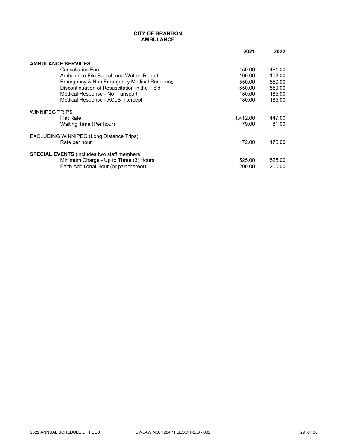#### **CITY OF BRANDON AMBULANCE**

|                                                    | 2021     | 2022     |
|----------------------------------------------------|----------|----------|
| <b>AMBULANCE SERVICES</b>                          |          |          |
| <b>Cancellation Fee</b>                            | 450.00   | 461.00   |
| Ambulance File Search and Written Report           | 100.00   | 103.00   |
| Emergency & Non Emergency Medical Response         | 550.00   | 550.00   |
| Discontinuation of Resuscitation in the Field      | 550.00   | 550.00   |
| Medical Response - No Transport                    | 180.00   | 185.00   |
| Medical Response - ACLS Intercept                  | 180.00   | 185.00   |
| <b>WINNIPEG TRIPS</b>                              |          |          |
| <b>Flat Rate</b>                                   | 1,412.00 | 1,447.00 |
| Waiting Time (Per hour)                            | 79.00    | 81.00    |
| <b>EXCLUDING WINNIPEG (Long Distance Trips)</b>    |          |          |
| Rate per hour                                      | 172.00   | 176.00   |
| <b>SPECIAL EVENTS</b> (includes two staff members) |          |          |
| Minimum Charge - Up to Three (3) Hours             | 525.00   | 525.00   |
| Each Additional Hour (or part thereof)             | 200.00   | 200.00   |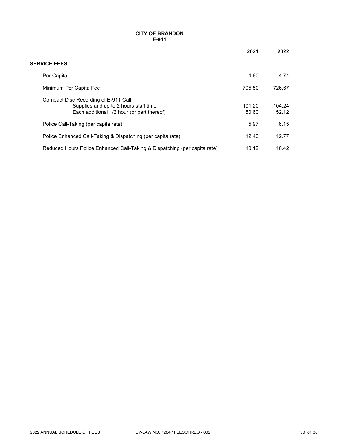#### **CITY OF BRANDON E-911**

|                                                                                                                             | 2021            | 2022            |
|-----------------------------------------------------------------------------------------------------------------------------|-----------------|-----------------|
| <b>SERVICE FEES</b>                                                                                                         |                 |                 |
| Per Capita                                                                                                                  | 4.60            | 4.74            |
| Minimum Per Capita Fee                                                                                                      | 705.50          | 726.67          |
| Compact Disc Recording of E-911 Call<br>Supplies and up to 2 hours staff time<br>Each additional 1/2 hour (or part thereof) | 101.20<br>50.60 | 104.24<br>52.12 |
| Police Call-Taking (per capita rate)                                                                                        | 5.97            | 6.15            |
| Police Enhanced Call-Taking & Dispatching (per capita rate)                                                                 | 12.40           | 12.77           |
| Reduced Hours Police Enhanced Call-Taking & Dispatching (per capita rate)                                                   | 10.12           | 10.42           |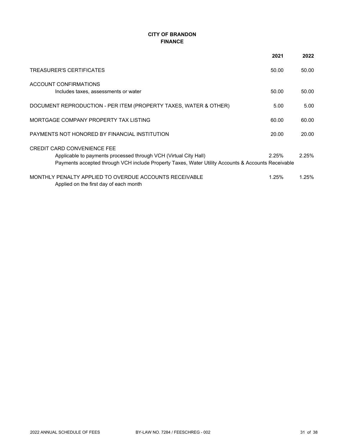## **CITY OF BRANDON FINANCE**

|                                                                                                                                                                                                              | 2021  | 2022  |
|--------------------------------------------------------------------------------------------------------------------------------------------------------------------------------------------------------------|-------|-------|
| TREASURER'S CERTIFICATES                                                                                                                                                                                     | 50.00 | 50.00 |
| ACCOUNT CONFIRMATIONS<br>Includes taxes, assessments or water                                                                                                                                                | 50.00 | 50.00 |
| DOCUMENT REPRODUCTION - PER ITEM (PROPERTY TAXES, WATER & OTHER)                                                                                                                                             | 5.00  | 5.00  |
| MORTGAGE COMPANY PROPERTY TAX LISTING                                                                                                                                                                        | 60.00 | 60.00 |
| PAYMENTS NOT HONORED BY FINANCIAL INSTITUTION                                                                                                                                                                | 20.00 | 20.00 |
| <b>CREDIT CARD CONVENIENCE FEE</b><br>Applicable to payments processed through VCH (Virtual City Hall)<br>Payments accepted through VCH include Property Taxes, Water Utility Accounts & Accounts Receivable | 2.25% | 2.25% |
| MONTHLY PENALTY APPLIED TO OVERDUE ACCOUNTS RECEIVABLE<br>Applied on the first day of each month                                                                                                             | 1.25% | 1.25% |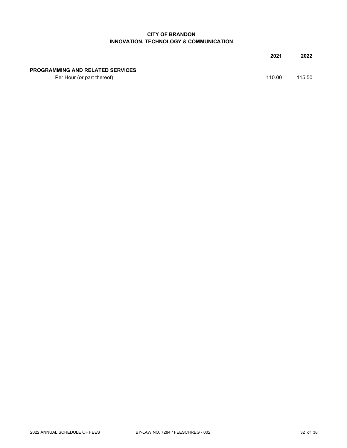### **CITY OF BRANDON INNOVATION, TECHNOLOGY & COMMUNICATION**

|                                         | 2021   | 2022   |
|-----------------------------------------|--------|--------|
| <b>PROGRAMMING AND RELATED SERVICES</b> |        |        |
| Per Hour (or part thereof)              | 110.00 | 115.50 |
|                                         |        |        |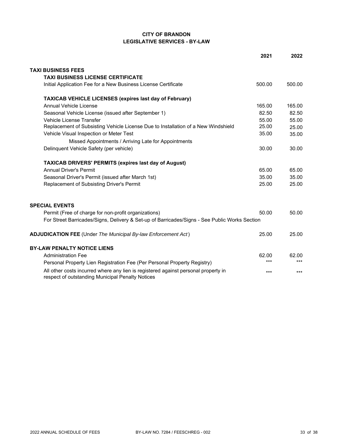### **CITY OF BRANDON LEGISLATIVE SERVICES - BY-LAW**

|                                                                                                                                        | 2021   | 2022   |
|----------------------------------------------------------------------------------------------------------------------------------------|--------|--------|
| <b>TAXI BUSINESS FEES</b>                                                                                                              |        |        |
| <b>TAXI BUSINESS LICENSE CERTIFICATE</b>                                                                                               |        |        |
| Initial Application Fee for a New Business License Certificate                                                                         | 500.00 | 500.00 |
| <b>TAXICAB VEHICLE LICENSES (expires last day of February)</b>                                                                         |        |        |
| Annual Vehicle License                                                                                                                 | 165.00 | 165.00 |
| Seasonal Vehicle License (issued after September 1)                                                                                    | 82.50  | 82.50  |
| Vehicle License Transfer                                                                                                               | 55.00  | 55.00  |
| Replacement of Subsisting Vehicle License Due to Installation of a New Windshield                                                      | 25.00  | 25.00  |
| Vehicle Visual Inspection or Meter Test                                                                                                | 35.00  | 35.00  |
| Missed Appointments / Arriving Late for Appointments                                                                                   |        |        |
| Delinquent Vehicle Safety (per vehicle)                                                                                                | 30.00  | 30.00  |
| <b>TAXICAB DRIVERS' PERMITS (expires last day of August)</b>                                                                           |        |        |
| <b>Annual Driver's Permit</b>                                                                                                          | 65.00  | 65.00  |
| Seasonal Driver's Permit (issued after March 1st)                                                                                      | 35.00  | 35.00  |
| Replacement of Subsisting Driver's Permit                                                                                              | 25.00  | 25.00  |
| <b>SPECIAL EVENTS</b>                                                                                                                  |        |        |
|                                                                                                                                        | 50.00  | 50.00  |
| Permit (Free of charge for non-profit organizations)                                                                                   |        |        |
| For Street Barricades/Signs, Delivery & Set-up of Barricades/Signs - See Public Works Section                                          |        |        |
| <b>ADJUDICATION FEE (Under The Municipal By-law Enforcement Act)</b>                                                                   | 25.00  | 25.00  |
| <b>BY-LAW PENALTY NOTICE LIENS</b>                                                                                                     |        |        |
| <b>Administration Fee</b>                                                                                                              | 62.00  | 62.00  |
| Personal Property Lien Registration Fee (Per Personal Property Registry)                                                               | $***$  | $***$  |
| All other costs incurred where any lien is registered against personal property in<br>respect of outstanding Municipal Penalty Notices | $***$  | $***$  |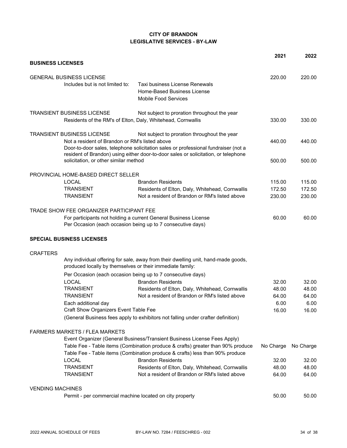## **CITY OF BRANDON LEGISLATIVE SERVICES - BY-LAW**

|                                                             |                                                                                                   | 2021             | 2022             |
|-------------------------------------------------------------|---------------------------------------------------------------------------------------------------|------------------|------------------|
| <b>BUSINESS LICENSES</b>                                    |                                                                                                   |                  |                  |
| <b>GENERAL BUSINESS LICENSE</b>                             |                                                                                                   | 220.00           | 220.00           |
| Includes but is not limited to:                             | Taxi business License Renewals                                                                    |                  |                  |
|                                                             | Home-Based Business License                                                                       |                  |                  |
|                                                             | <b>Mobile Food Services</b>                                                                       |                  |                  |
| <b>TRANSIENT BUSINESS LICENSE</b>                           | Not subject to proration throughout the year                                                      |                  |                  |
| Residents of the RM's of Elton, Daly, Whitehead, Cornwallis |                                                                                                   | 330.00           | 330.00           |
| <b>TRANSIENT BUSINESS LICENSE</b>                           | Not subject to proration throughout the year                                                      |                  |                  |
| Not a resident of Brandon or RM's listed above              |                                                                                                   | 440.00           | 440.00           |
|                                                             | Door-to-door sales, telephone solicitation sales or professional fundraiser (not a                |                  |                  |
| solicitation, or other similar method                       | resident of Brandon) using either door-to-door sales or solicitation, or telephone                | 500.00           | 500.00           |
|                                                             |                                                                                                   |                  |                  |
| PROVINCIAL HOME-BASED DIRECT SELLER                         |                                                                                                   |                  |                  |
| <b>LOCAL</b><br><b>TRANSIENT</b>                            | <b>Brandon Residents</b>                                                                          | 115.00<br>172.50 | 115.00<br>172.50 |
| <b>TRANSIENT</b>                                            | Residents of Elton, Daly, Whitehead, Cornwallis<br>Not a resident of Brandon or RM's listed above | 230.00           | 230.00           |
|                                                             |                                                                                                   |                  |                  |
| TRADE SHOW FEE ORGANIZER PARTICIPANT FEE                    |                                                                                                   |                  |                  |
|                                                             | For participants not holding a current General Business License                                   | 60.00            | 60.00            |
|                                                             | Per Occasion (each occasion being up to 7 consecutive days)                                       |                  |                  |
| <b>SPECIAL BUSINESS LICENSES</b>                            |                                                                                                   |                  |                  |
| <b>CRAFTERS</b>                                             |                                                                                                   |                  |                  |
| produced locally by themselves or their immediate family:   | Any individual offering for sale, away from their dwelling unit, hand-made goods,                 |                  |                  |
|                                                             | Per Occasion (each occasion being up to 7 consecutive days)                                       |                  |                  |
| <b>LOCAL</b>                                                | <b>Brandon Residents</b>                                                                          | 32.00            | 32.00            |
| <b>TRANSIENT</b>                                            | Residents of Elton, Daly, Whitehead, Cornwallis                                                   | 48.00            | 48.00            |
| <b>TRANSIENT</b>                                            | Not a resident of Brandon or RM's listed above                                                    | 64.00            | 64.00            |
| Each additional day                                         |                                                                                                   | 6.00             | 6.00             |
| Craft Show Organizers Event Table Fee                       |                                                                                                   | 16.00            | 16.00            |
|                                                             | (General Business fees apply to exhibitors not falling under crafter definition)                  |                  |                  |
| <b>FARMERS MARKETS / FLEA MARKETS</b>                       |                                                                                                   |                  |                  |
|                                                             | Event Organizer (General Business/Transient Business License Fees Apply)                          |                  |                  |
|                                                             | Table Fee - Table items (Combination produce & crafts) greater than 90% produce                   | No Charge        | No Charge        |
|                                                             | Table Fee - Table items (Combination produce & crafts) less than 90% produce                      |                  |                  |
| <b>LOCAL</b>                                                | <b>Brandon Residents</b>                                                                          | 32.00            | 32.00            |
| <b>TRANSIENT</b>                                            | Residents of Elton, Daly, Whitehead, Cornwallis                                                   | 48.00            | 48.00            |
| <b>TRANSIENT</b>                                            | Not a resident of Brandon or RM's listed above                                                    | 64.00            | 64.00            |
| <b>VENDING MACHINES</b>                                     |                                                                                                   |                  |                  |
| Permit - per commercial machine located on city property    |                                                                                                   | 50.00            | 50.00            |
|                                                             |                                                                                                   |                  |                  |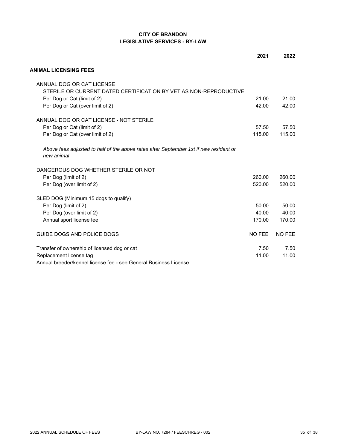### **CITY OF BRANDON LEGISLATIVE SERVICES - BY-LAW**

|                                                                                                     | 2021   | 2022          |
|-----------------------------------------------------------------------------------------------------|--------|---------------|
| <b>ANIMAL LICENSING FEES</b>                                                                        |        |               |
| ANNUAL DOG OR CAT LICENSE                                                                           |        |               |
| STERILE OR CURRENT DATED CERTIFICATION BY VET AS NON-REPRODUCTIVE                                   |        |               |
| Per Dog or Cat (limit of 2)                                                                         | 21.00  | 21.00         |
| Per Dog or Cat (over limit of 2)                                                                    | 42.00  | 42.00         |
| ANNUAL DOG OR CAT LICENSE - NOT STERILE                                                             |        |               |
| Per Dog or Cat (limit of 2)                                                                         | 57.50  | 57.50         |
| Per Dog or Cat (over limit of 2)                                                                    | 115.00 | 115.00        |
| Above fees adjusted to half of the above rates after September 1st if new resident or<br>new animal |        |               |
| DANGEROUS DOG WHETHER STERILE OR NOT                                                                |        |               |
| Per Dog (limit of 2)                                                                                | 260.00 | 260.00        |
| Per Dog (over limit of 2)                                                                           | 520.00 | 520.00        |
| SLED DOG (Minimum 15 dogs to qualify)                                                               |        |               |
| Per Dog (limit of 2)                                                                                | 50.00  | 50.00         |
| Per Dog (over limit of 2)                                                                           | 40.00  | 40.00         |
| Annual sport license fee                                                                            | 170.00 | 170.00        |
| GUIDE DOGS AND POLICE DOGS                                                                          | NO FEE | <b>NO FEE</b> |
| Transfer of ownership of licensed dog or cat                                                        | 7.50   | 7.50          |
| Replacement license tag                                                                             | 11.00  | 11.00         |
| Annual breeder/kennel license fee - see General Business License                                    |        |               |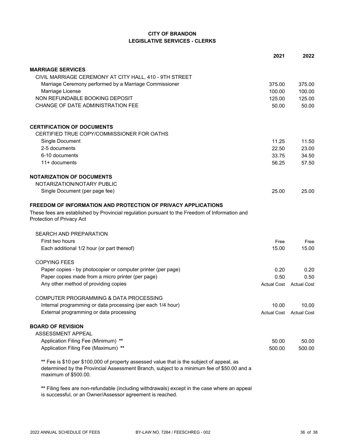### **CITY OF BRANDON LEGISLATIVE SERVICES - CLERKS**

|                                                                                                                                                                                                                | 2021   | 2022                    |
|----------------------------------------------------------------------------------------------------------------------------------------------------------------------------------------------------------------|--------|-------------------------|
| <b>MARRIAGE SERVICES</b>                                                                                                                                                                                       |        |                         |
| CIVIL MARRIAGE CEREMONY AT CITY HALL, 410 - 9TH STREET                                                                                                                                                         |        |                         |
| Marriage Ceremony performed by a Marriage Commissioner                                                                                                                                                         | 375.00 | 375.00                  |
| Marriage License                                                                                                                                                                                               | 100.00 | 100.00                  |
| NON REFUNDABLE BOOKING DEPOSIT                                                                                                                                                                                 | 125.00 | 125.00                  |
| CHANGE OF DATE ADMINISTRATION FEE                                                                                                                                                                              | 50.00  | 50.00                   |
| <b>CERTIFICATION OF DOCUMENTS</b>                                                                                                                                                                              |        |                         |
| CERTIFIED TRUE COPY/COMMISSIONER FOR OATHS                                                                                                                                                                     |        |                         |
| Single Document                                                                                                                                                                                                | 11.25  | 11.50                   |
| 2-5 documents                                                                                                                                                                                                  | 22.50  | 23.00                   |
| 6-10 documents                                                                                                                                                                                                 | 33.75  | 34.50                   |
| 11+ documents                                                                                                                                                                                                  | 56.25  | 57.50                   |
| <b>NOTARIZATION OF DOCUMENTS</b>                                                                                                                                                                               |        |                         |
| NOTARIZATION/NOTARY PUBLIC                                                                                                                                                                                     |        |                         |
| Single Document (per page fee)                                                                                                                                                                                 | 25.00  | 25.00                   |
| FREEDOM OF INFORMATION AND PROTECTION OF PRIVACY APPLICATIONS                                                                                                                                                  |        |                         |
| These fees are established by Provincial regulation pursuant to the Freedom of Information and<br>Protection of Privacy Act                                                                                    |        |                         |
| <b>SEARCH AND PREPARATION</b>                                                                                                                                                                                  |        |                         |
| First two hours                                                                                                                                                                                                | Free   | Free                    |
| Each additional 1/2 hour (or part thereof)                                                                                                                                                                     | 15.00  | 15.00                   |
| <b>COPYING FEES</b>                                                                                                                                                                                            |        |                         |
| Paper copies - by photocopier or computer printer (per page)                                                                                                                                                   | 0.20   | 0.20                    |
| Paper copies made from a micro printer (per page)                                                                                                                                                              | 0.50   | 0.50                    |
| Any other method of providing copies                                                                                                                                                                           |        | Actual Cost Actual Cost |
| COMPUTER PROGRAMMING & DATA PROCESSING                                                                                                                                                                         |        |                         |
| Internal programming or data processing (per each 1/4 hour)                                                                                                                                                    | 10.00  | 10.00                   |
| External programming or data processing                                                                                                                                                                        |        | Actual Cost Actual Cost |
| <b>BOARD OF REVISION</b>                                                                                                                                                                                       |        |                         |
| ASSESSMENT APPEAL                                                                                                                                                                                              |        |                         |
| Application Filing Fee (Minimum) **                                                                                                                                                                            | 50.00  | 50.00                   |
| Application Filing Fee (Maximum) **                                                                                                                                                                            | 500.00 | 500.00                  |
| ** Fee is \$10 per \$100,000 of property assessed value that is the subject of appeal, as<br>determined by the Provincial Assessment Branch, subject to a minimum fee of \$50.00 and a<br>maximum of \$500.00. |        |                         |

**\*\*** Filing fees are non-refundable (including withdrawals) except in the case where an appeal is successful, or an Owner/Assessor agreement is reached.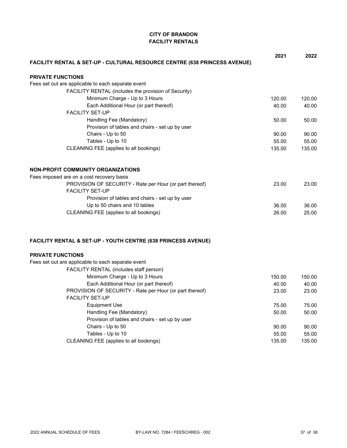## **CITY OF BRANDON FACILITY RENTALS**

|                                                                                   | 2021           | 2022           |
|-----------------------------------------------------------------------------------|----------------|----------------|
| FACILITY RENTAL & SET-UP - CULTURAL RESOURCE CENTRE (638 PRINCESS AVENUE)         |                |                |
| <b>PRIVATE FUNCTIONS</b>                                                          |                |                |
| Fees set out are applicable to each separate event                                |                |                |
| FACILITY RENTAL (includes the provision of Security)                              |                |                |
| Minimum Charge - Up to 3 Hours                                                    | 120.00         | 120.00         |
| Each Additional Hour (or part thereof)                                            | 40.00          | 40.00          |
| <b>FACILITY SET-UP</b>                                                            |                |                |
| Handling Fee (Mandatory)                                                          | 50.00          | 50.00          |
| Provision of tables and chairs - set up by user                                   |                |                |
| Chairs - Up to 50                                                                 | 90.00          | 90.00          |
| Tables - Up to 10                                                                 | 55.00          | 55.00          |
| CLEANING FEE (applies to all bookings)                                            | 135.00         | 135.00         |
| <b>NON-PROFIT COMMUNITY ORGANIZATIONS</b>                                         |                |                |
| Fees imposed are on a cost recovery basis                                         |                |                |
| PROVISION OF SECURITY - Rate per Hour (or part thereof)                           | 23.00          | 23.00          |
| <b>FACILITY SET-UP</b>                                                            |                |                |
| Provision of tables and chairs - set up by user                                   |                |                |
| Up to 50 chairs and 10 tables                                                     | 36.00          | 36.00          |
| CLEANING FEE (applies to all bookings)                                            | 26.00          | 25.00          |
| <b>FACILITY RENTAL &amp; SET-UP - YOUTH CENTRE (638 PRINCESS AVENUE)</b>          |                |                |
| <b>PRIVATE FUNCTIONS</b>                                                          |                |                |
| Fees set out are applicable to each separate event                                |                |                |
| FACILITY RENTAL (includes staff person)                                           |                |                |
| Minimum Charge - Up to 3 Hours                                                    | 150.00         | 150.00         |
| Each Additional Hour (or part thereof)                                            | 40.00          | 40.00          |
| PROVISION OF SECURITY - Rate per Hour (or part thereof)<br><b>FACILITY SET-UP</b> | 23.00          | 23.00          |
|                                                                                   |                |                |
| <b>Equipment Use</b>                                                              | 75.00          | 75.00          |
| Handling Fee (Mandatory)<br>Provision of tables and chairs - set up by user       | 50.00          | 50.00          |
| Chairs - Up to 50                                                                 |                |                |
| Tables - Up to 10                                                                 | 90.00<br>55.00 | 90.00<br>55.00 |
| CLEANING FEE (applies to all bookings)                                            | 135.00         | 135.00         |
|                                                                                   |                |                |